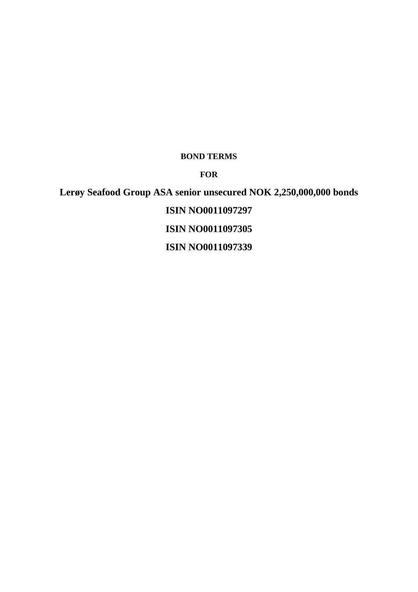# **BOND TERMS**

**FOR**

**Lerøy Seafood Group ASA senior unsecured NOK 2,250,000,000 bonds ISIN NO0011097297 ISIN NO0011097305 ISIN NO0011097339**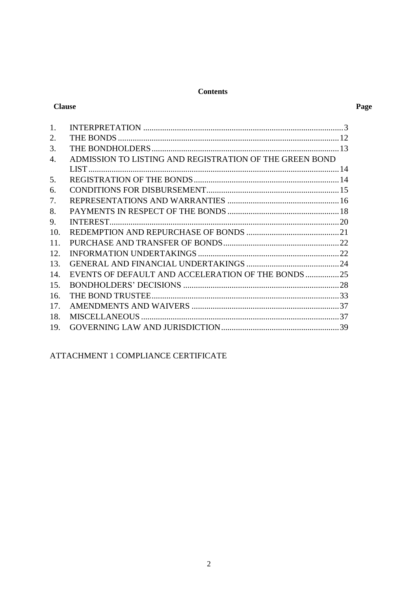## **Contents**

## **Clause**

# Page

| 1.  |                                                         |  |
|-----|---------------------------------------------------------|--|
| 2.  |                                                         |  |
| 3.  |                                                         |  |
| 4.  | ADMISSION TO LISTING AND REGISTRATION OF THE GREEN BOND |  |
|     |                                                         |  |
| 5.  |                                                         |  |
| 6.  |                                                         |  |
| 7.  |                                                         |  |
| 8.  |                                                         |  |
| 9.  |                                                         |  |
| 10. |                                                         |  |
| 11. |                                                         |  |
| 12  |                                                         |  |
| 13. |                                                         |  |
| 14. | EVENTS OF DEFAULT AND ACCELERATION OF THE BONDS 25      |  |
| 15. |                                                         |  |
| 16. |                                                         |  |
| 17. |                                                         |  |
| 18. |                                                         |  |
| 19. |                                                         |  |

# ATTACHMENT 1 COMPLIANCE CERTIFICATE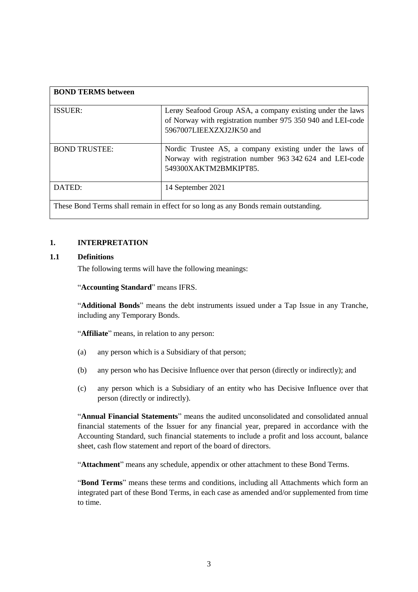| <b>BOND TERMS between</b>                                                            |                                                                                                                                                       |  |  |  |
|--------------------------------------------------------------------------------------|-------------------------------------------------------------------------------------------------------------------------------------------------------|--|--|--|
| <b>ISSUER:</b>                                                                       | Lerøy Seafood Group ASA, a company existing under the laws<br>of Norway with registration number 975 350 940 and LEI-code<br>5967007LIEEXZXJ2JK50 and |  |  |  |
| <b>BOND TRUSTEE:</b>                                                                 | Nordic Trustee AS, a company existing under the laws of<br>Norway with registration number 963 342 624 and LEI-code<br>549300XAKTM2BMKIPT85.          |  |  |  |
| DATED:                                                                               | 14 September 2021                                                                                                                                     |  |  |  |
| These Bond Terms shall remain in effect for so long as any Bonds remain outstanding. |                                                                                                                                                       |  |  |  |

## <span id="page-2-0"></span>**1. INTERPRETATION**

## **1.1 Definitions**

The following terms will have the following meanings:

#### "**Accounting Standard**" means IFRS.

"**Additional Bonds**" means the debt instruments issued under a Tap Issue in any Tranche, including any Temporary Bonds.

"**Affiliate**" means, in relation to any person:

- (a) any person which is a Subsidiary of that person;
- (b) any person who has Decisive Influence over that person (directly or indirectly); and
- (c) any person which is a Subsidiary of an entity who has Decisive Influence over that person (directly or indirectly).

"**Annual Financial Statements**" means the audited unconsolidated and consolidated annual financial statements of the Issuer for any financial year, prepared in accordance with the Accounting Standard, such financial statements to include a profit and loss account, balance sheet, cash flow statement and report of the board of directors.

"**Attachment**" means any schedule, appendix or other attachment to these Bond Terms.

"**Bond Terms**" means these terms and conditions, including all Attachments which form an integrated part of these Bond Terms, in each case as amended and/or supplemented from time to time.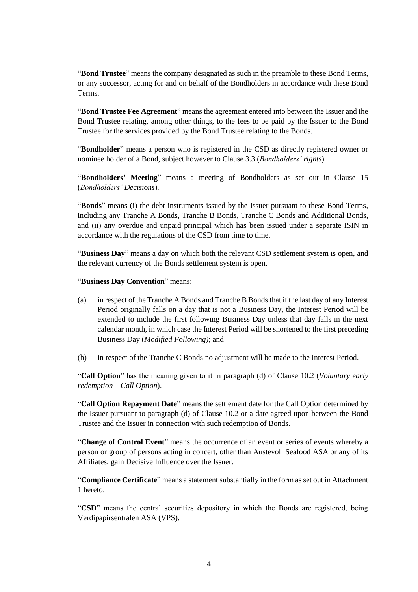"**Bond Trustee**" means the company designated as such in the preamble to these Bond Terms, or any successor, acting for and on behalf of the Bondholders in accordance with these Bond Terms.

"**Bond Trustee Fee Agreement**" means the agreement entered into between the Issuer and the Bond Trustee relating, among other things, to the fees to be paid by the Issuer to the Bond Trustee for the services provided by the Bond Trustee relating to the Bonds.

"**Bondholder**" means a person who is registered in the CSD as directly registered owner or nominee holder of a Bond, subject however to Clause [3.3](#page-13-2) (*Bondholders' rights*).

"**Bondholders' Meeting**" means a meeting of Bondholders as set out in Clause [15](#page-27-0) (*Bondholders' Decisions*).

"**Bonds**" means (i) the debt instruments issued by the Issuer pursuant to these Bond Terms, including any Tranche A Bonds, Tranche B Bonds, Tranche C Bonds and Additional Bonds, and (ii) any overdue and unpaid principal which has been issued under a separate ISIN in accordance with the regulations of the CSD from time to time.

"**Business Day**" means a day on which both the relevant CSD settlement system is open, and the relevant currency of the Bonds settlement system is open.

"**Business Day Convention**" means:

- (a) in respect of the Tranche A Bonds and Tranche B Bonds that if the last day of any Interest Period originally falls on a day that is not a Business Day, the Interest Period will be extended to include the first following Business Day unless that day falls in the next calendar month, in which case the Interest Period will be shortened to the first preceding Business Day (*Modified Following)*; and
- (b) in respect of the Tranche C Bonds no adjustment will be made to the Interest Period.

"**Call Option**" has the meaning given to it in paragraph (d) of Clause [10.2](#page-20-1) (*Voluntary early redemption – Call Option*).

"**Call Option Repayment Date**" means the settlement date for the Call Option determined by the Issuer pursuant to paragraph (d) of Clause [10.2](#page-20-1) or a date agreed upon between the Bond Trustee and the Issuer in connection with such redemption of Bonds.

"**Change of Control Event**" means the occurrence of an event or series of events whereby a person or group of persons acting in concert, other than Austevoll Seafood ASA or any of its Affiliates, gain Decisive Influence over the Issuer.

"**Compliance Certificate**" means a statement substantially in the form as set out in Attachment 1 hereto.

"**CSD**" means the central securities depository in which the Bonds are registered, being Verdipapirsentralen ASA (VPS).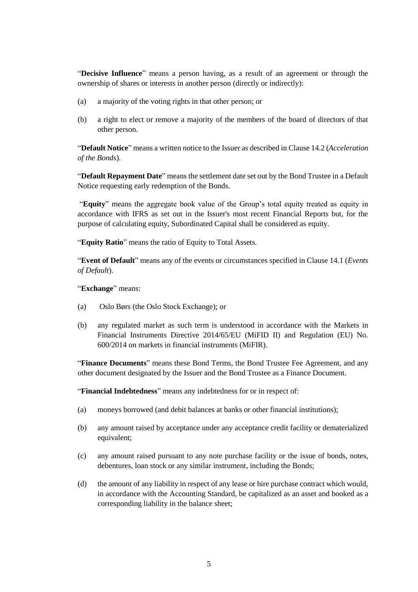"**Decisive Influence**" means a person having, as a result of an agreement or through the ownership of shares or interests in another person (directly or indirectly):

- (a) a majority of the voting rights in that other person; or
- (b) a right to elect or remove a majority of the members of the board of directors of that other person.

"**Default Notice**" means a written notice to the Issuer as described in Claus[e 14.2](#page-26-0) (*Acceleration of the Bonds*).

"**Default Repayment Date**" means the settlement date set out by the Bond Trustee in a Default Notice requesting early redemption of the Bonds.

"**Equity**" means the aggregate book value of the Group's total equity treated as equity in accordance with IFRS as set out in the Issuer's most recent Financial Reports but, for the purpose of calculating equity, Subordinated Capital shall be considered as equity.

"**Equity Ratio**" means the ratio of Equity to Total Assets.

"**Event of Default**" means any of the events or circumstances specified in Claus[e 14.1](#page-24-1) (*Events of Default*).

"**Exchange**" means:

- (a) Oslo Børs (the Oslo Stock Exchange); or
- (b) any regulated market as such term is understood in accordance with the Markets in Financial Instruments Directive 2014/65/EU (MiFID II) and Regulation (EU) No. 600/2014 on markets in financial instruments (MiFIR).

"**Finance Documents**" means these Bond Terms, the Bond Trustee Fee Agreement, and any other document designated by the Issuer and the Bond Trustee as a Finance Document.

"**Financial Indebtedness**" means any indebtedness for or in respect of:

- (a) moneys borrowed (and debit balances at banks or other financial institutions);
- (b) any amount raised by acceptance under any acceptance credit facility or dematerialized equivalent;
- (c) any amount raised pursuant to any note purchase facility or the issue of bonds, notes, debentures, loan stock or any similar instrument, including the Bonds;
- (d) the amount of any liability in respect of any lease or hire purchase contract which would, in accordance with the Accounting Standard, be capitalized as an asset and booked as a corresponding liability in the balance sheet;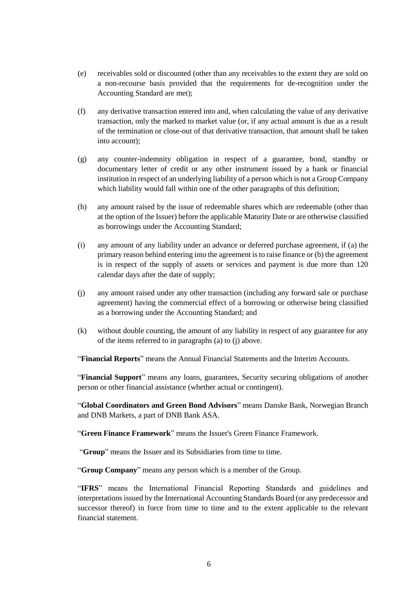- (e) receivables sold or discounted (other than any receivables to the extent they are sold on a non-recourse basis provided that the requirements for de-recognition under the Accounting Standard are met);
- (f) any derivative transaction entered into and, when calculating the value of any derivative transaction, only the marked to market value (or, if any actual amount is due as a result of the termination or close-out of that derivative transaction, that amount shall be taken into account);
- (g) any counter-indemnity obligation in respect of a guarantee, bond, standby or documentary letter of credit or any other instrument issued by a bank or financial institution in respect of an underlying liability of a person which is not a Group Company which liability would fall within one of the other paragraphs of this definition;
- (h) any amount raised by the issue of redeemable shares which are redeemable (other than at the option of the Issuer) before the applicable Maturity Date or are otherwise classified as borrowings under the Accounting Standard;
- (i) any amount of any liability under an advance or deferred purchase agreement, if (a) the primary reason behind entering into the agreement is to raise finance or (b) the agreement is in respect of the supply of assets or services and payment is due more than 120 calendar days after the date of supply;
- (j) any amount raised under any other transaction (including any forward sale or purchase agreement) having the commercial effect of a borrowing or otherwise being classified as a borrowing under the Accounting Standard; and
- (k) without double counting, the amount of any liability in respect of any guarantee for any of the items referred to in paragraphs (a) to (j) above.

"**Financial Reports**" means the Annual Financial Statements and the Interim Accounts.

"**Financial Support**" means any loans, guarantees, Security securing obligations of another person or other financial assistance (whether actual or contingent).

"**Global Coordinators and Green Bond Advisors**" means Danske Bank, Norwegian Branch and DNB Markets, a part of DNB Bank ASA.

"**Green Finance Framework**" means the Issuer's Green Finance Framework.

"**Group**" means the Issuer and its Subsidiaries from time to time.

"**Group Company**" means any person which is a member of the Group.

"**IFRS**" means the International Financial Reporting Standards and guidelines and interpretations issued by the International Accounting Standards Board (or any predecessor and successor thereof) in force from time to time and to the extent applicable to the relevant financial statement.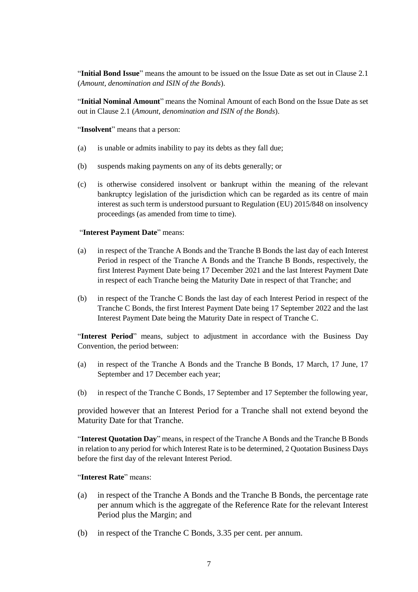"**Initial Bond Issue**" means the amount to be issued on the Issue Date as set out in Claus[e 2.1](#page-11-1) (*Amount, denomination and ISIN of the Bonds*).

"**Initial Nominal Amount**" means the Nominal Amount of each Bond on the Issue Date as set out in Clause [2.1](#page-11-1) (*Amount, denomination and ISIN of the Bonds*).

"**Insolvent**" means that a person:

- (a) is unable or admits inability to pay its debts as they fall due;
- (b) suspends making payments on any of its debts generally; or
- (c) is otherwise considered insolvent or bankrupt within the meaning of the relevant bankruptcy legislation of the jurisdiction which can be regarded as its centre of main interest as such term is understood pursuant to Regulation (EU) 2015/848 on insolvency proceedings (as amended from time to time).

#### "**Interest Payment Date**" means:

- (a) in respect of the Tranche A Bonds and the Tranche B Bonds the last day of each Interest Period in respect of the Tranche A Bonds and the Tranche B Bonds, respectively, the first Interest Payment Date being 17 December 2021 and the last Interest Payment Date in respect of each Tranche being the Maturity Date in respect of that Tranche; and
- (b) in respect of the Tranche C Bonds the last day of each Interest Period in respect of the Tranche C Bonds, the first Interest Payment Date being 17 September 2022 and the last Interest Payment Date being the Maturity Date in respect of Tranche C.

"**Interest Period**" means, subject to adjustment in accordance with the Business Day Convention, the period between:

- (a) in respect of the Tranche A Bonds and the Tranche B Bonds, 17 March, 17 June, 17 September and 17 December each year;
- (b) in respect of the Tranche C Bonds, 17 September and 17 September the following year,

provided however that an Interest Period for a Tranche shall not extend beyond the Maturity Date for that Tranche.

"**Interest Quotation Day**" means, in respect of the Tranche A Bonds and the Tranche B Bonds in relation to any period for which Interest Rate is to be determined, 2 Quotation Business Days before the first day of the relevant Interest Period.

"**Interest Rate**" means:

- (a) in respect of the Tranche A Bonds and the Tranche B Bonds, the percentage rate per annum which is the aggregate of the Reference Rate for the relevant Interest Period plus the Margin; and
- (b) in respect of the Tranche C Bonds, 3.35 per cent. per annum.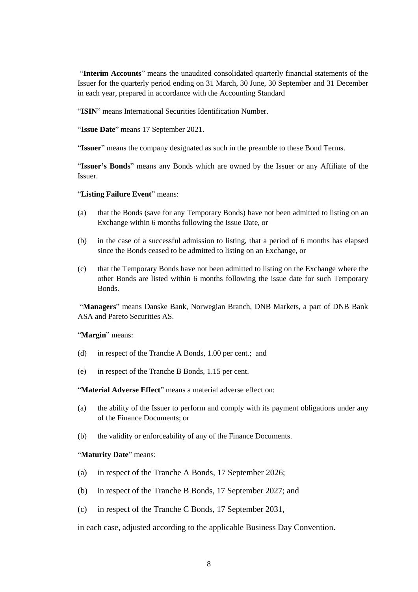"**Interim Accounts**" means the unaudited consolidated quarterly financial statements of the Issuer for the quarterly period ending on 31 March, 30 June, 30 September and 31 December in each year, prepared in accordance with the Accounting Standard

"**ISIN**" means International Securities Identification Number.

"**Issue Date**" means 17 September 2021.

"**Issuer**" means the company designated as such in the preamble to these Bond Terms.

"**Issuer's Bonds**" means any Bonds which are owned by the Issuer or any Affiliate of the Issuer.

"**Listing Failure Event**" means:

- (a) that the Bonds (save for any Temporary Bonds) have not been admitted to listing on an Exchange within 6 months following the Issue Date, or
- (b) in the case of a successful admission to listing, that a period of 6 months has elapsed since the Bonds ceased to be admitted to listing on an Exchange, or
- (c) that the Temporary Bonds have not been admitted to listing on the Exchange where the other Bonds are listed within 6 months following the issue date for such Temporary Bonds.

"**Managers**" means Danske Bank, Norwegian Branch, DNB Markets, a part of DNB Bank ASA and Pareto Securities AS.

"**Margin**" means:

- (d) in respect of the Tranche A Bonds, 1.00 per cent.; and
- (e) in respect of the Tranche B Bonds, 1.15 per cent.

"**Material Adverse Effect**" means a material adverse effect on:

- (a) the ability of the Issuer to perform and comply with its payment obligations under any of the Finance Documents; or
- (b) the validity or enforceability of any of the Finance Documents.

#### "**Maturity Date**" means:

- (a) in respect of the Tranche A Bonds, 17 September 2026;
- (b) in respect of the Tranche B Bonds, 17 September 2027; and
- (c) in respect of the Tranche C Bonds, 17 September 2031,

in each case, adjusted according to the applicable Business Day Convention.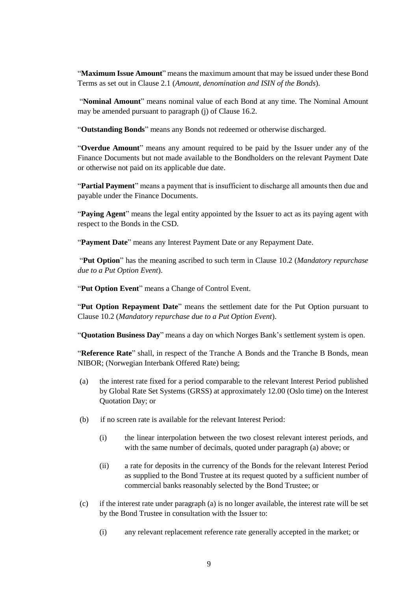"**Maximum Issue Amount**" means the maximum amount that may be issued under these Bond Terms as set out in Clause [2.1](#page-11-1) (*Amount, denomination and ISIN of the Bonds*).

"**Nominal Amount**" means nominal value of each Bond at any time. The Nominal Amount may be amended pursuant to paragraph (j) of Clause [16.2.](#page-32-1)

"**Outstanding Bonds**" means any Bonds not redeemed or otherwise discharged.

"**Overdue Amount**" means any amount required to be paid by the Issuer under any of the Finance Documents but not made available to the Bondholders on the relevant Payment Date or otherwise not paid on its applicable due date.

"**Partial Payment**" means a payment that is insufficient to discharge all amounts then due and payable under the Finance Documents.

"**Paying Agent**" means the legal entity appointed by the Issuer to act as its paying agent with respect to the Bonds in the CSD.

"**Payment Date**" means any Interest Payment Date or any Repayment Date.

"**Put Option**" has the meaning ascribed to such term in Clause [10.2](#page-20-1) (*Mandatory repurchase due to a Put Option Event*).

"**Put Option Event**" means a Change of Control Event.

"**Put Option Repayment Date**" means the settlement date for the Put Option pursuant to Clause [10.2](#page-20-1) (*Mandatory repurchase due to a Put Option Event*).

"**Quotation Business Day**" means a day on which Norges Bank's settlement system is open.

"**Reference Rate**" shall, in respect of the Tranche A Bonds and the Tranche B Bonds, mean NIBOR; (Norwegian Interbank Offered Rate) being;

- (a) the interest rate fixed for a period comparable to the relevant Interest Period published by Global Rate Set Systems (GRSS) at approximately 12.00 (Oslo time) on the Interest Quotation Day; or
- (b) if no screen rate is available for the relevant Interest Period:
	- (i) the linear interpolation between the two closest relevant interest periods, and with the same number of decimals, quoted under paragraph (a) above; or
	- (ii) a rate for deposits in the currency of the Bonds for the relevant Interest Period as supplied to the Bond Trustee at its request quoted by a sufficient number of commercial banks reasonably selected by the Bond Trustee; or
- (c) if the interest rate under paragraph (a) is no longer available, the interest rate will be set by the Bond Trustee in consultation with the Issuer to:
	- (i) any relevant replacement reference rate generally accepted in the market; or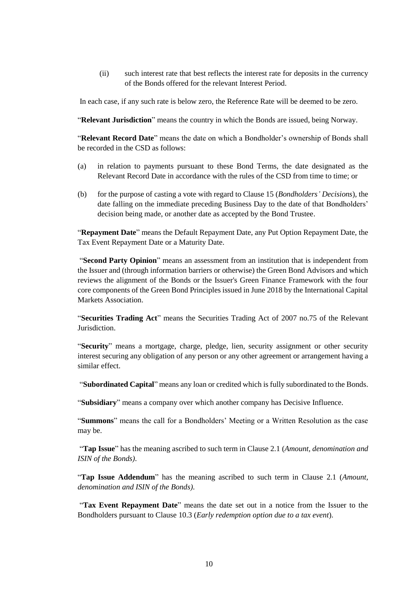(ii) such interest rate that best reflects the interest rate for deposits in the currency of the Bonds offered for the relevant Interest Period.

In each case, if any such rate is below zero, the Reference Rate will be deemed to be zero.

"**Relevant Jurisdiction**" means the country in which the Bonds are issued, being Norway.

"**Relevant Record Date**" means the date on which a Bondholder's ownership of Bonds shall be recorded in the CSD as follows:

- (a) in relation to payments pursuant to these Bond Terms, the date designated as the Relevant Record Date in accordance with the rules of the CSD from time to time; or
- (b) for the purpose of casting a vote with regard to Clause [15](#page-27-0) (*Bondholders' Decisions*), the date falling on the immediate preceding Business Day to the date of that Bondholders' decision being made, or another date as accepted by the Bond Trustee.

"**Repayment Date**" means the Default Repayment Date, any Put Option Repayment Date, the Tax Event Repayment Date or a Maturity Date.

"**Second Party Opinion**" means an assessment from an institution that is independent from the Issuer and (through information barriers or otherwise) the Green Bond Advisors and which reviews the alignment of the Bonds or the Issuer's Green Finance Framework with the four core components of the Green Bond Principles issued in June 2018 by the International Capital Markets Association.

"**Securities Trading Act**" means the Securities Trading Act of 2007 no.75 of the Relevant Jurisdiction.

"**Security**" means a mortgage, charge, pledge, lien, security assignment or other security interest securing any obligation of any person or any other agreement or arrangement having a similar effect.

"**Subordinated Capital**" means any loan or credited which is fully subordinated to the Bonds.

"**Subsidiary**" means a company over which another company has Decisive Influence.

"**Summons**" means the call for a Bondholders' Meeting or a Written Resolution as the case may be.

"**Tap Issue**" has the meaning ascribed to such term in Clause [2.1](#page-11-1) (*Amount, denomination and ISIN of the Bonds)*.

"**Tap Issue Addendum**" has the meaning ascribed to such term in Clause [2.1](#page-11-1) (*Amount, denomination and ISIN of the Bonds)*.

"**Tax Event Repayment Date**" means the date set out in a notice from the Issuer to the Bondholders pursuant to Clause [10.3](#page-21-2) (*Early redemption option due to a tax event*).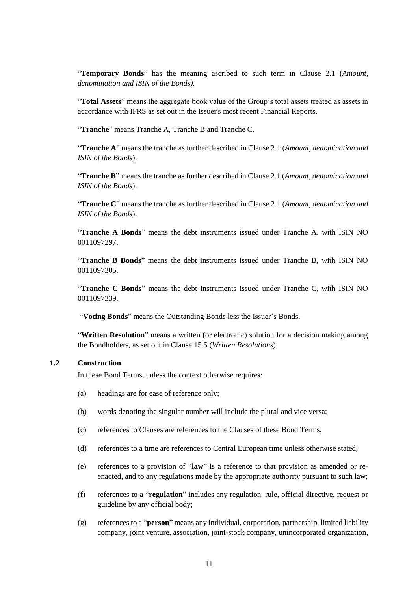"**Temporary Bonds**" has the meaning ascribed to such term in Clause [2.1](#page-11-1) (*Amount, denomination and ISIN of the Bonds)*.

"**Total Assets**" means the aggregate book value of the Group's total assets treated as assets in accordance with IFRS as set out in the Issuer's most recent Financial Reports.

"**Tranche**" means Tranche A, Tranche B and Tranche C.

"**Tranche A**" means the tranche as further described in Clause [2.1](#page-11-1) (*[Amount, denomination and](#page-11-1)  [ISIN of the Bonds](#page-11-1)*).

"**Tranche B**" means the tranche as further described in Claus[e 2.1](#page-11-1) (*[Amount, denomination and](#page-11-1)  [ISIN of the Bonds](#page-11-1)*).

"**Tranche C**" means the tranche as further described in Clause [2.1](#page-11-1) (*[Amount, denomination and](#page-11-1)  [ISIN of the Bonds](#page-11-1)*).

"**Tranche A Bonds**" means the debt instruments issued under Tranche A, with ISIN NO 0011097297.

"**Tranche B Bonds**" means the debt instruments issued under Tranche B, with ISIN NO 0011097305.

"**Tranche C Bonds**" means the debt instruments issued under Tranche C, with ISIN NO 0011097339.

"**Voting Bonds**" means the Outstanding Bonds less the Issuer's Bonds.

"**Written Resolution**" means a written (or electronic) solution for a decision making among the Bondholders, as set out in Clause [15.5](#page-31-0) (*Written Resolutions*).

#### **1.2 Construction**

In these Bond Terms, unless the context otherwise requires:

- (a) headings are for ease of reference only;
- (b) words denoting the singular number will include the plural and vice versa;
- (c) references to Clauses are references to the Clauses of these Bond Terms;
- (d) references to a time are references to Central European time unless otherwise stated;
- (e) references to a provision of "**law**" is a reference to that provision as amended or reenacted, and to any regulations made by the appropriate authority pursuant to such law;
- (f) references to a "**regulation**" includes any regulation, rule, official directive, request or guideline by any official body;
- (g) references to a "**person**" means any individual, corporation, partnership, limited liability company, joint venture, association, joint-stock company, unincorporated organization,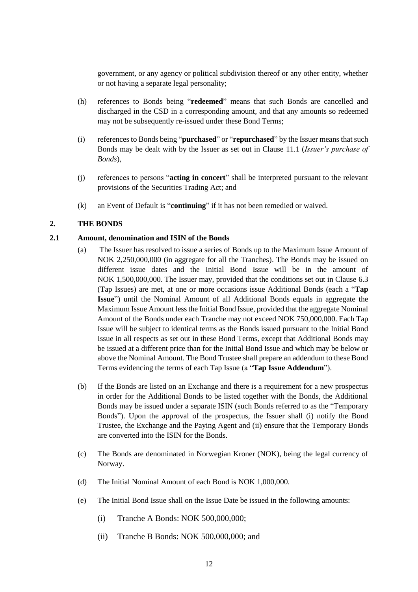government, or any agency or political subdivision thereof or any other entity, whether or not having a separate legal personality;

- (h) references to Bonds being "**redeemed**" means that such Bonds are cancelled and discharged in the CSD in a corresponding amount, and that any amounts so redeemed may not be subsequently re-issued under these Bond Terms;
- (i) references to Bonds being "**purchased**" or "**repurchased**" by the Issuer means that such Bonds may be dealt with by the Issuer as set out in Clause [11.1](#page-21-3) (*Issuer's purchase of Bonds*),
- (j) references to persons "**acting in concert**" shall be interpreted pursuant to the relevant provisions of the Securities Trading Act; and
- (k) an Event of Default is "**continuing**" if it has not been remedied or waived.

#### <span id="page-11-0"></span>**2. THE BONDS**

#### <span id="page-11-1"></span>**2.1 Amount, denomination and ISIN of the Bonds**

- (a) The Issuer has resolved to issue a series of Bonds up to the Maximum Issue Amount of NOK 2,250,000,000 (in aggregate for all the Tranches). The Bonds may be issued on different issue dates and the Initial Bond Issue will be in the amount of NOK 1,500,000,000. The Issuer may, provided that the conditions set out in Clause [6.3](#page-15-1) (Tap Issues) are met, at one or more occasions issue Additional Bonds (each a "**Tap Issue**") until the Nominal Amount of all Additional Bonds equals in aggregate the Maximum Issue Amount less the Initial Bond Issue, provided that the aggregate Nominal Amount of the Bonds under each Tranche may not exceed NOK 750,000,000. Each Tap Issue will be subject to identical terms as the Bonds issued pursuant to the Initial Bond Issue in all respects as set out in these Bond Terms, except that Additional Bonds may be issued at a different price than for the Initial Bond Issue and which may be below or above the Nominal Amount. The Bond Trustee shall prepare an addendum to these Bond Terms evidencing the terms of each Tap Issue (a "**Tap Issue Addendum**").
- (b) If the Bonds are listed on an Exchange and there is a requirement for a new prospectus in order for the Additional Bonds to be listed together with the Bonds, the Additional Bonds may be issued under a separate ISIN (such Bonds referred to as the "Temporary Bonds"). Upon the approval of the prospectus, the Issuer shall (i) notify the Bond Trustee, the Exchange and the Paying Agent and (ii) ensure that the Temporary Bonds are converted into the ISIN for the Bonds.
- (c) The Bonds are denominated in Norwegian Kroner (NOK), being the legal currency of Norway.
- (d) The Initial Nominal Amount of each Bond is NOK 1,000,000.
- (e) The Initial Bond Issue shall on the Issue Date be issued in the following amounts:
	- (i) Tranche A Bonds: NOK 500,000,000;
	- (ii) Tranche B Bonds: NOK 500,000,000; and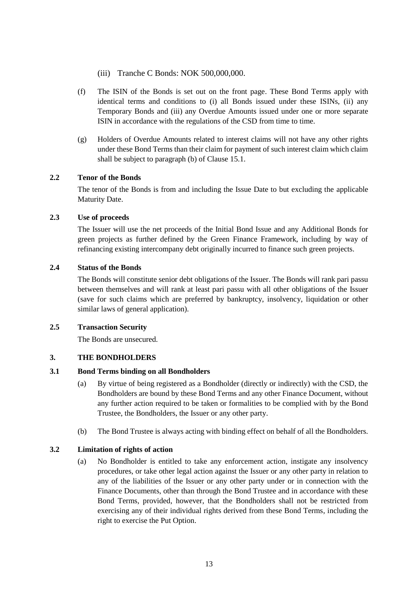- (iii) Tranche C Bonds: NOK 500,000,000.
- (f) The ISIN of the Bonds is set out on the front page. These Bond Terms apply with identical terms and conditions to (i) all Bonds issued under these ISINs, (ii) any Temporary Bonds and (iii) any Overdue Amounts issued under one or more separate ISIN in accordance with the regulations of the CSD from time to time.
- (g) Holders of Overdue Amounts related to interest claims will not have any other rights under these Bond Terms than their claim for payment of such interest claim which claim shall be subject to paragraph (b) of Clause [15.1.](#page-27-1)

## **2.2 Tenor of the Bonds**

The tenor of the Bonds is from and including the Issue Date to but excluding the applicable Maturity Date.

## **2.3 Use of proceeds**

The Issuer will use the net proceeds of the Initial Bond Issue and any Additional Bonds for green projects as further defined by the Green Finance Framework, including by way of refinancing existing intercompany debt originally incurred to finance such green projects.

## <span id="page-12-1"></span>**2.4 Status of the Bonds**

The Bonds will constitute senior debt obligations of the Issuer. The Bonds will rank pari passu between themselves and will rank at least pari passu with all other obligations of the Issuer (save for such claims which are preferred by bankruptcy, insolvency, liquidation or other similar laws of general application).

#### **2.5 Transaction Security**

The Bonds are unsecured.

## <span id="page-12-0"></span>**3. THE BONDHOLDERS**

#### **3.1 Bond Terms binding on all Bondholders**

- (a) By virtue of being registered as a Bondholder (directly or indirectly) with the CSD, the Bondholders are bound by these Bond Terms and any other Finance Document, without any further action required to be taken or formalities to be complied with by the Bond Trustee, the Bondholders, the Issuer or any other party.
- (b) The Bond Trustee is always acting with binding effect on behalf of all the Bondholders.

## **3.2 Limitation of rights of action**

(a) No Bondholder is entitled to take any enforcement action, instigate any insolvency procedures, or take other legal action against the Issuer or any other party in relation to any of the liabilities of the Issuer or any other party under or in connection with the Finance Documents, other than through the Bond Trustee and in accordance with these Bond Terms, provided, however, that the Bondholders shall not be restricted from exercising any of their individual rights derived from these Bond Terms, including the right to exercise the Put Option.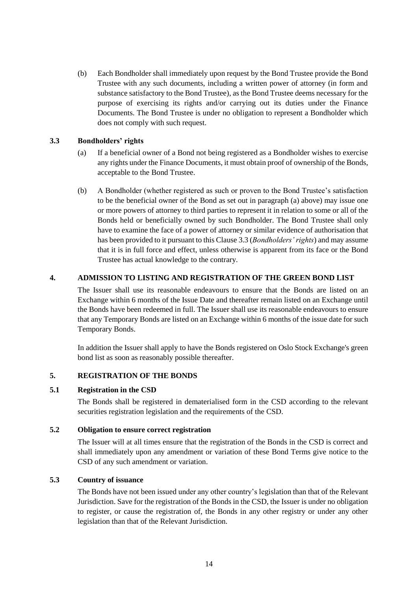(b) Each Bondholder shall immediately upon request by the Bond Trustee provide the Bond Trustee with any such documents, including a written power of attorney (in form and substance satisfactory to the Bond Trustee), as the Bond Trustee deems necessary for the purpose of exercising its rights and/or carrying out its duties under the Finance Documents. The Bond Trustee is under no obligation to represent a Bondholder which does not comply with such request.

## <span id="page-13-3"></span><span id="page-13-2"></span>**3.3 Bondholders' rights**

- (a) If a beneficial owner of a Bond not being registered as a Bondholder wishes to exercise any rights under the Finance Documents, it must obtain proof of ownership of the Bonds, acceptable to the Bond Trustee.
- (b) A Bondholder (whether registered as such or proven to the Bond Trustee's satisfaction to be the beneficial owner of the Bond as set out in paragraph [\(a\)](#page-13-3) above) may issue one or more powers of attorney to third parties to represent it in relation to some or all of the Bonds held or beneficially owned by such Bondholder. The Bond Trustee shall only have to examine the face of a power of attorney or similar evidence of authorisation that has been provided to it pursuant to this Clause [3.3](#page-13-2) (*Bondholders' rights*) and may assume that it is in full force and effect, unless otherwise is apparent from its face or the Bond Trustee has actual knowledge to the contrary.

## <span id="page-13-0"></span>**4. ADMISSION TO LISTING AND REGISTRATION OF THE GREEN BOND LIST**

The Issuer shall use its reasonable endeavours to ensure that the Bonds are listed on an Exchange within 6 months of the Issue Date and thereafter remain listed on an Exchange until the Bonds have been redeemed in full. The Issuer shall use its reasonable endeavours to ensure that any Temporary Bonds are listed on an Exchange within 6 months of the issue date for such Temporary Bonds.

In addition the Issuer shall apply to have the Bonds registered on Oslo Stock Exchange's green bond list as soon as reasonably possible thereafter.

#### <span id="page-13-1"></span>**5. REGISTRATION OF THE BONDS**

#### **5.1 Registration in the CSD**

The Bonds shall be registered in dematerialised form in the CSD according to the relevant securities registration legislation and the requirements of the CSD.

## **5.2 Obligation to ensure correct registration**

The Issuer will at all times ensure that the registration of the Bonds in the CSD is correct and shall immediately upon any amendment or variation of these Bond Terms give notice to the CSD of any such amendment or variation.

#### **5.3 Country of issuance**

The Bonds have not been issued under any other country's legislation than that of the Relevant Jurisdiction. Save for the registration of the Bonds in the CSD, the Issuer is under no obligation to register, or cause the registration of, the Bonds in any other registry or under any other legislation than that of the Relevant Jurisdiction.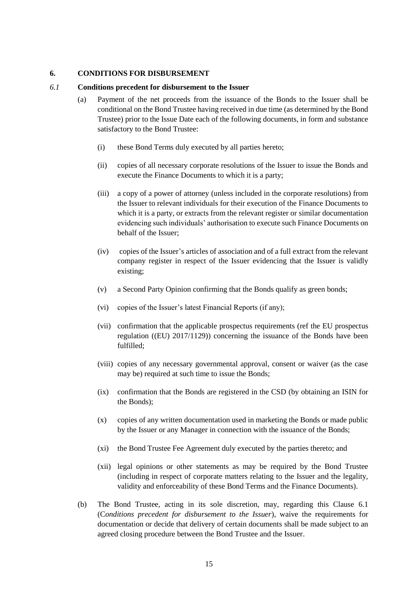### <span id="page-14-0"></span>**6. CONDITIONS FOR DISBURSEMENT**

#### <span id="page-14-1"></span>*6.1* **Conditions precedent for disbursement to the Issuer**

- (a) Payment of the net proceeds from the issuance of the Bonds to the Issuer shall be conditional on the Bond Trustee having received in due time (as determined by the Bond Trustee) prior to the Issue Date each of the following documents, in form and substance satisfactory to the Bond Trustee:
	- (i) these Bond Terms duly executed by all parties hereto;
	- (ii) copies of all necessary corporate resolutions of the Issuer to issue the Bonds and execute the Finance Documents to which it is a party;
	- (iii) a copy of a power of attorney (unless included in the corporate resolutions) from the Issuer to relevant individuals for their execution of the Finance Documents to which it is a party, or extracts from the relevant register or similar documentation evidencing such individuals' authorisation to execute such Finance Documents on behalf of the Issuer;
	- (iv) copies of the Issuer's articles of association and of a full extract from the relevant company register in respect of the Issuer evidencing that the Issuer is validly existing;
	- (v) a Second Party Opinion confirming that the Bonds qualify as green bonds;
	- (vi) copies of the Issuer's latest Financial Reports (if any);
	- (vii) confirmation that the applicable prospectus requirements (ref the EU prospectus regulation ((EU) 2017/1129)) concerning the issuance of the Bonds have been fulfilled;
	- (viii) copies of any necessary governmental approval, consent or waiver (as the case may be) required at such time to issue the Bonds;
	- (ix) confirmation that the Bonds are registered in the CSD (by obtaining an ISIN for the Bonds);
	- (x) copies of any written documentation used in marketing the Bonds or made public by the Issuer or any Manager in connection with the issuance of the Bonds;
	- (xi) the Bond Trustee Fee Agreement duly executed by the parties thereto; and
	- (xii) legal opinions or other statements as may be required by the Bond Trustee (including in respect of corporate matters relating to the Issuer and the legality, validity and enforceability of these Bond Terms and the Finance Documents).
- (b) The Bond Trustee, acting in its sole discretion, may, regarding this Clause 6.1 (C*onditions precedent for disbursement to the Issuer*), waive the requirements for documentation or decide that delivery of certain documents shall be made subject to an agreed closing procedure between the Bond Trustee and the Issuer.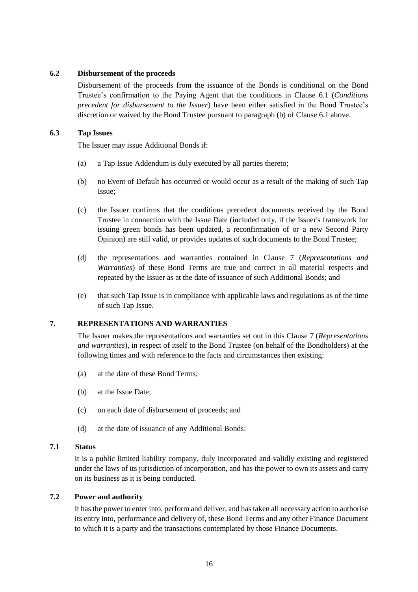## **6.2 Disbursement of the proceeds**

Disbursement of the proceeds from the issuance of the Bonds is conditional on the Bond Trustee's confirmation to the Paying Agent that the conditions in Clause [6.1](#page-14-1) (*Conditions precedent for disbursement to the Issuer*) have been either satisfied in the Bond Trustee's discretion or waived by the Bond Trustee pursuant to paragraph (b) of Clause [6.1](#page-14-1) above.

## <span id="page-15-1"></span>**6.3 Tap Issues**

The Issuer may issue Additional Bonds if:

- (a) a Tap Issue Addendum is duly executed by all parties thereto;
- (b) no Event of Default has occurred or would occur as a result of the making of such Tap Issue;
- (c) the Issuer confirms that the conditions precedent documents received by the Bond Trustee in connection with the Issue Date (included only, if the Issuer's framework for issuing green bonds has been updated, a reconfirmation of or a new Second Party Opinion) are still valid, or provides updates of such documents to the Bond Trustee;
- (d) the representations and warranties contained in Clause [7](#page-15-0) (*Representations and Warranties*) of these Bond Terms are true and correct in all material respects and repeated by the Issuer as at the date of issuance of such Additional Bonds; and
- (e) that such Tap Issue is in compliance with applicable laws and regulations as of the time of such Tap Issue.

## <span id="page-15-0"></span>**7. REPRESENTATIONS AND WARRANTIES**

The Issuer makes the representations and warranties set out in this Clause [7](#page-15-0) (*Representations and warranties*), in respect of itself to the Bond Trustee (on behalf of the Bondholders) at the following times and with reference to the facts and circumstances then existing:

- (a) at the date of these Bond Terms;
- (b) at the Issue Date;
- (c) on each date of disbursement of proceeds; and
- (d) at the date of issuance of any Additional Bonds:

#### **7.1 Status**

It is a public limited liability company, duly incorporated and validly existing and registered under the laws of its jurisdiction of incorporation, and has the power to own its assets and carry on its business as it is being conducted.

## **7.2 Power and authority**

It has the power to enter into, perform and deliver, and has taken all necessary action to authorise its entry into, performance and delivery of, these Bond Terms and any other Finance Document to which it is a party and the transactions contemplated by those Finance Documents.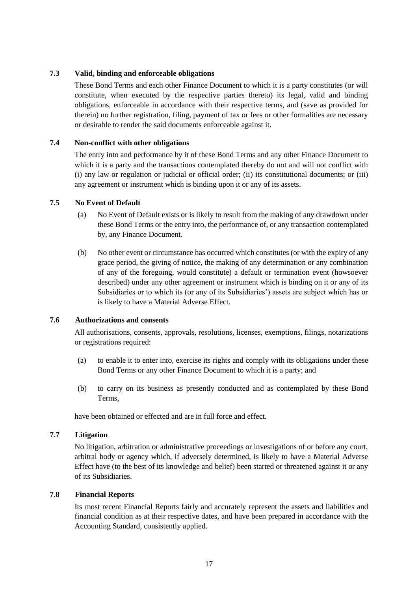## **7.3 Valid, binding and enforceable obligations**

These Bond Terms and each other Finance Document to which it is a party constitutes (or will constitute, when executed by the respective parties thereto) its legal, valid and binding obligations, enforceable in accordance with their respective terms, and (save as provided for therein) no further registration, filing, payment of tax or fees or other formalities are necessary or desirable to render the said documents enforceable against it.

## **7.4 Non-conflict with other obligations**

The entry into and performance by it of these Bond Terms and any other Finance Document to which it is a party and the transactions contemplated thereby do not and will not conflict with (i) any law or regulation or judicial or official order; (ii) its constitutional documents; or (iii) any agreement or instrument which is binding upon it or any of its assets.

## **7.5 No Event of Default**

- (a) No Event of Default exists or is likely to result from the making of any drawdown under these Bond Terms or the entry into, the performance of, or any transaction contemplated by, any Finance Document.
- (b) No other event or circumstance has occurred which constitutes (or with the expiry of any grace period, the giving of notice, the making of any determination or any combination of any of the foregoing, would constitute) a default or termination event (howsoever described) under any other agreement or instrument which is binding on it or any of its Subsidiaries or to which its (or any of its Subsidiaries') assets are subject which has or is likely to have a Material Adverse Effect.

#### **7.6 Authorizations and consents**

All authorisations, consents, approvals, resolutions, licenses, exemptions, filings, notarizations or registrations required:

- (a) to enable it to enter into, exercise its rights and comply with its obligations under these Bond Terms or any other Finance Document to which it is a party; and
- (b) to carry on its business as presently conducted and as contemplated by these Bond Terms,

have been obtained or effected and are in full force and effect.

#### **7.7 Litigation**

No litigation, arbitration or administrative proceedings or investigations of or before any court, arbitral body or agency which, if adversely determined, is likely to have a Material Adverse Effect have (to the best of its knowledge and belief) been started or threatened against it or any of its Subsidiaries.

#### **7.8 Financial Reports**

Its most recent Financial Reports fairly and accurately represent the assets and liabilities and financial condition as at their respective dates, and have been prepared in accordance with the Accounting Standard, consistently applied.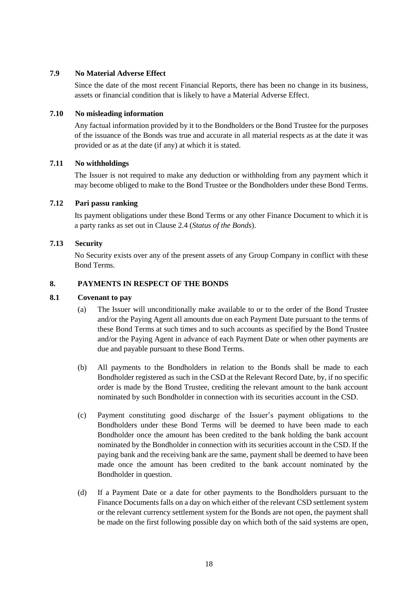## **7.9 No Material Adverse Effect**

Since the date of the most recent Financial Reports, there has been no change in its business, assets or financial condition that is likely to have a Material Adverse Effect.

### **7.10 No misleading information**

Any factual information provided by it to the Bondholders or the Bond Trustee for the purposes of the issuance of the Bonds was true and accurate in all material respects as at the date it was provided or as at the date (if any) at which it is stated.

## **7.11 No withholdings**

The Issuer is not required to make any deduction or withholding from any payment which it may become obliged to make to the Bond Trustee or the Bondholders under these Bond Terms.

## **7.12 Pari passu ranking**

Its payment obligations under these Bond Terms or any other Finance Document to which it is a party ranks as set out in Clause [2.4](#page-12-1) (*Status of the Bonds*).

## **7.13 Security**

No Security exists over any of the present assets of any Group Company in conflict with these Bond Terms.

## <span id="page-17-0"></span>**8. PAYMENTS IN RESPECT OF THE BONDS**

## **8.1 Covenant to pay**

- (a) The Issuer will unconditionally make available to or to the order of the Bond Trustee and/or the Paying Agent all amounts due on each Payment Date pursuant to the terms of these Bond Terms at such times and to such accounts as specified by the Bond Trustee and/or the Paying Agent in advance of each Payment Date or when other payments are due and payable pursuant to these Bond Terms.
- (b) All payments to the Bondholders in relation to the Bonds shall be made to each Bondholder registered as such in the CSD at the Relevant Record Date, by, if no specific order is made by the Bond Trustee, crediting the relevant amount to the bank account nominated by such Bondholder in connection with its securities account in the CSD.
- (c) Payment constituting good discharge of the Issuer's payment obligations to the Bondholders under these Bond Terms will be deemed to have been made to each Bondholder once the amount has been credited to the bank holding the bank account nominated by the Bondholder in connection with its securities account in the CSD. If the paying bank and the receiving bank are the same, payment shall be deemed to have been made once the amount has been credited to the bank account nominated by the Bondholder in question.
- (d) If a Payment Date or a date for other payments to the Bondholders pursuant to the Finance Documents falls on a day on which either of the relevant CSD settlement system or the relevant currency settlement system for the Bonds are not open, the payment shall be made on the first following possible day on which both of the said systems are open,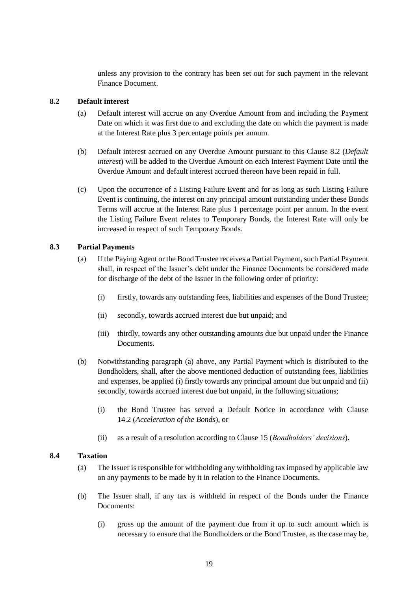unless any provision to the contrary has been set out for such payment in the relevant Finance Document.

### <span id="page-18-0"></span>**8.2 Default interest**

- (a) Default interest will accrue on any Overdue Amount from and including the Payment Date on which it was first due to and excluding the date on which the payment is made at the Interest Rate plus 3 percentage points per annum.
- (b) Default interest accrued on any Overdue Amount pursuant to this Clause [8.2](#page-18-0) (*Default interest*) will be added to the Overdue Amount on each Interest Payment Date until the Overdue Amount and default interest accrued thereon have been repaid in full.
- (c) Upon the occurrence of a Listing Failure Event and for as long as such Listing Failure Event is continuing, the interest on any principal amount outstanding under these Bonds Terms will accrue at the Interest Rate plus 1 percentage point per annum. In the event the Listing Failure Event relates to Temporary Bonds, the Interest Rate will only be increased in respect of such Temporary Bonds.

## **8.3 Partial Payments**

- (a) If the Paying Agent or the Bond Trustee receives a Partial Payment, such Partial Payment shall, in respect of the Issuer's debt under the Finance Documents be considered made for discharge of the debt of the Issuer in the following order of priority:
	- (i) firstly, towards any outstanding fees, liabilities and expenses of the Bond Trustee;
	- (ii) secondly, towards accrued interest due but unpaid; and
	- (iii) thirdly, towards any other outstanding amounts due but unpaid under the Finance Documents.
- (b) Notwithstanding paragraph (a) above, any Partial Payment which is distributed to the Bondholders, shall, after the above mentioned deduction of outstanding fees, liabilities and expenses, be applied (i) firstly towards any principal amount due but unpaid and (ii) secondly, towards accrued interest due but unpaid, in the following situations;
	- (i) the Bond Trustee has served a Default Notice in accordance with Clause [14.2](#page-26-0) (*Acceleration of the Bonds*), or
	- (ii) as a result of a resolution according to Clause [15](#page-27-0) (*Bondholders' decisions*).

#### <span id="page-18-1"></span>**8.4 Taxation**

- (a) The Issuer is responsible for withholding any withholding tax imposed by applicable law on any payments to be made by it in relation to the Finance Documents.
- (b) The Issuer shall, if any tax is withheld in respect of the Bonds under the Finance Documents:
	- (i) gross up the amount of the payment due from it up to such amount which is necessary to ensure that the Bondholders or the Bond Trustee, as the case may be,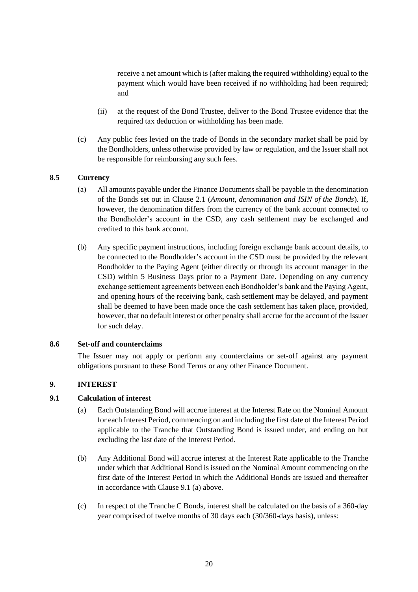receive a net amount which is (after making the required withholding) equal to the payment which would have been received if no withholding had been required; and

- (ii) at the request of the Bond Trustee, deliver to the Bond Trustee evidence that the required tax deduction or withholding has been made.
- (c) Any public fees levied on the trade of Bonds in the secondary market shall be paid by the Bondholders, unless otherwise provided by law or regulation, and the Issuer shall not be responsible for reimbursing any such fees.

## **8.5 Currency**

- (a) All amounts payable under the Finance Documents shall be payable in the denomination of the Bonds set out in Clause [2.1](#page-11-1) (*Amount, denomination and ISIN of the Bonds*). If, however, the denomination differs from the currency of the bank account connected to the Bondholder's account in the CSD, any cash settlement may be exchanged and credited to this bank account.
- (b) Any specific payment instructions, including foreign exchange bank account details, to be connected to the Bondholder's account in the CSD must be provided by the relevant Bondholder to the Paying Agent (either directly or through its account manager in the CSD) within 5 Business Days prior to a Payment Date. Depending on any currency exchange settlement agreements between each Bondholder's bank and the Paying Agent, and opening hours of the receiving bank, cash settlement may be delayed, and payment shall be deemed to have been made once the cash settlement has taken place, provided, however, that no default interest or other penalty shall accrue for the account of the Issuer for such delay.

#### **8.6 Set-off and counterclaims**

The Issuer may not apply or perform any counterclaims or set-off against any payment obligations pursuant to these Bond Terms or any other Finance Document.

## <span id="page-19-0"></span>**9. INTEREST**

### <span id="page-19-1"></span>**9.1 Calculation of interest**

- (a) Each Outstanding Bond will accrue interest at the Interest Rate on the Nominal Amount for each Interest Period, commencing on and including the first date of the Interest Period applicable to the Tranche that Outstanding Bond is issued under, and ending on but excluding the last date of the Interest Period.
- (b) Any Additional Bond will accrue interest at the Interest Rate applicable to the Tranche under which that Additional Bond is issued on the Nominal Amount commencing on the first date of the Interest Period in which the Additional Bonds are issued and thereafter in accordance with Clause [9.1](#page-19-1) (a) above.
- (c) In respect of the Tranche C Bonds, interest shall be calculated on the basis of a 360-day year comprised of twelve months of 30 days each (30/360-days basis), unless: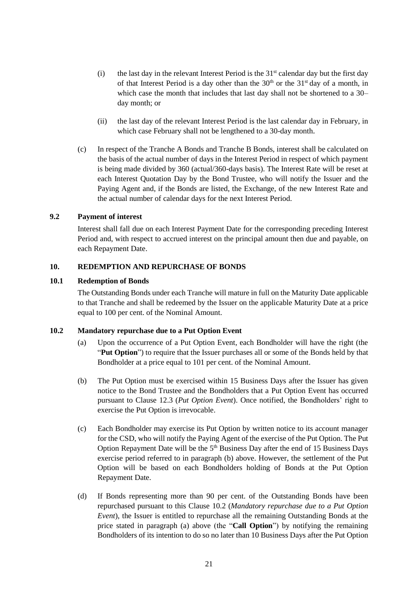- (i) the last day in the relevant Interest Period is the  $31<sup>st</sup>$  calendar day but the first day of that Interest Period is a day other than the  $30<sup>th</sup>$  or the  $31<sup>st</sup>$  day of a month, in which case the month that includes that last day shall not be shortened to a 30– day month; or
- (ii) the last day of the relevant Interest Period is the last calendar day in February, in which case February shall not be lengthened to a 30-day month.
- (c) In respect of the Tranche A Bonds and Tranche B Bonds, interest shall be calculated on the basis of the actual number of days in the Interest Period in respect of which payment is being made divided by 360 (actual/360-days basis). The Interest Rate will be reset at each Interest Quotation Day by the Bond Trustee, who will notify the Issuer and the Paying Agent and, if the Bonds are listed, the Exchange, of the new Interest Rate and the actual number of calendar days for the next Interest Period.

## **9.2 Payment of interest**

Interest shall fall due on each Interest Payment Date for the corresponding preceding Interest Period and, with respect to accrued interest on the principal amount then due and payable, on each Repayment Date.

## <span id="page-20-0"></span>**10. REDEMPTION AND REPURCHASE OF BONDS**

#### <span id="page-20-4"></span>**10.1 Redemption of Bonds**

The Outstanding Bonds under each Tranche will mature in full on the Maturity Date applicable to that Tranche and shall be redeemed by the Issuer on the applicable Maturity Date at a price equal to 100 per cent. of the Nominal Amount.

#### <span id="page-20-3"></span><span id="page-20-1"></span>**10.2 Mandatory repurchase due to a Put Option Event**

- (a) Upon the occurrence of a Put Option Event, each Bondholder will have the right (the "**Put Option**") to require that the Issuer purchases all or some of the Bonds held by that Bondholder at a price equal to 101 per cent. of the Nominal Amount.
- <span id="page-20-2"></span>(b) The Put Option must be exercised within 15 Business Days after the Issuer has given notice to the Bond Trustee and the Bondholders that a Put Option Event has occurred pursuant to Clause [12.3](#page-22-0) (*Put Option Event*). Once notified, the Bondholders' right to exercise the Put Option is irrevocable.
- (c) Each Bondholder may exercise its Put Option by written notice to its account manager for the CSD, who will notify the Paying Agent of the exercise of the Put Option. The Put Option Repayment Date will be the  $5<sup>th</sup>$  Business Day after the end of 15 Business Days exercise period referred to in paragraph [\(b\)](#page-20-2) above. However, the settlement of the Put Option will be based on each Bondholders holding of Bonds at the Put Option Repayment Date.
- (d) If Bonds representing more than 90 per cent. of the Outstanding Bonds have been repurchased pursuant to this Clause [10.2](#page-20-1) (*Mandatory repurchase due to a Put Option Event*), the Issuer is entitled to repurchase all the remaining Outstanding Bonds at the price stated in paragraph [\(a\)](#page-20-3) above (the "**Call Option**") by notifying the remaining Bondholders of its intention to do so no later than 10 Business Days after the Put Option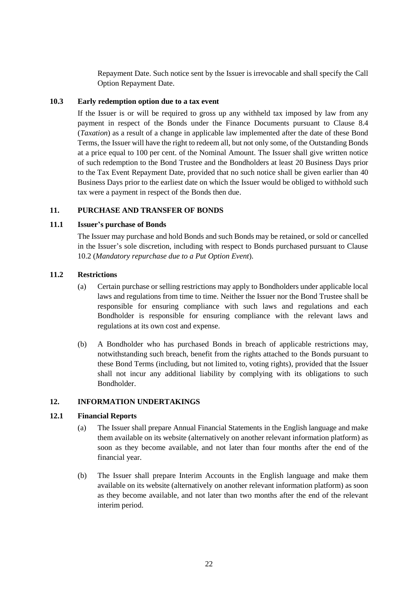Repayment Date. Such notice sent by the Issuer is irrevocable and shall specify the Call Option Repayment Date.

## <span id="page-21-2"></span>**10.3 Early redemption option due to a tax event**

If the Issuer is or will be required to gross up any withheld tax imposed by law from any payment in respect of the Bonds under the Finance Documents pursuant to Clause [8.4](#page-18-1) (*Taxation*) as a result of a change in applicable law implemented after the date of these Bond Terms, the Issuer will have the right to redeem all, but not only some, of the Outstanding Bonds at a price equal to 100 per cent. of the Nominal Amount. The Issuer shall give written notice of such redemption to the Bond Trustee and the Bondholders at least 20 Business Days prior to the Tax Event Repayment Date, provided that no such notice shall be given earlier than 40 Business Days prior to the earliest date on which the Issuer would be obliged to withhold such tax were a payment in respect of the Bonds then due.

## <span id="page-21-0"></span>**11. PURCHASE AND TRANSFER OF BONDS**

## <span id="page-21-3"></span>**11.1 Issuer's purchase of Bonds**

The Issuer may purchase and hold Bonds and such Bonds may be retained, or sold or cancelled in the Issuer's sole discretion, including with respect to Bonds purchased pursuant to Clause [10.2](#page-20-1) (*Mandatory repurchase due to a Put Option Event*).

## **11.2 Restrictions**

- (a) Certain purchase or selling restrictions may apply to Bondholders under applicable local laws and regulations from time to time. Neither the Issuer nor the Bond Trustee shall be responsible for ensuring compliance with such laws and regulations and each Bondholder is responsible for ensuring compliance with the relevant laws and regulations at its own cost and expense.
- (b) A Bondholder who has purchased Bonds in breach of applicable restrictions may, notwithstanding such breach, benefit from the rights attached to the Bonds pursuant to these Bond Terms (including, but not limited to, voting rights), provided that the Issuer shall not incur any additional liability by complying with its obligations to such Bondholder.

#### <span id="page-21-1"></span>**12. INFORMATION UNDERTAKINGS**

#### <span id="page-21-4"></span>**12.1 Financial Reports**

- (a) The Issuer shall prepare Annual Financial Statements in the English language and make them available on its website (alternatively on another relevant information platform) as soon as they become available, and not later than four months after the end of the financial year.
- (b) The Issuer shall prepare Interim Accounts in the English language and make them available on its website (alternatively on another relevant information platform) as soon as they become available, and not later than two months after the end of the relevant interim period.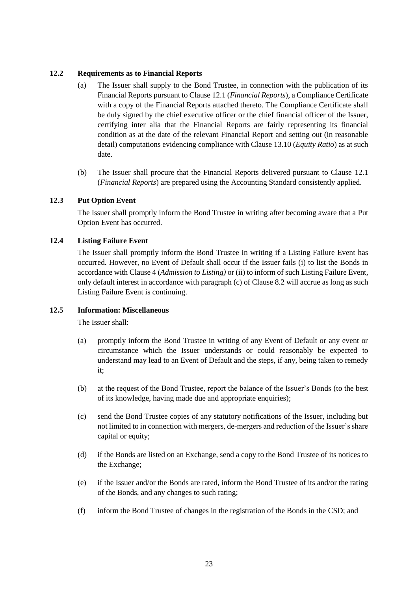### <span id="page-22-1"></span>**12.2 Requirements as to Financial Reports**

- (a) The Issuer shall supply to the Bond Trustee, in connection with the publication of its Financial Reports pursuant to Clause [12.1](#page-21-4) (*Financial Reports*), a Compliance Certificate with a copy of the Financial Reports attached thereto. The Compliance Certificate shall be duly signed by the chief executive officer or the chief financial officer of the Issuer, certifying inter alia that the Financial Reports are fairly representing its financial condition as at the date of the relevant Financial Report and setting out (in reasonable detail) computations evidencing compliance with Clause [13.10](#page-24-2) (*Equity Ratio*) as at such date.
- (b) The Issuer shall procure that the Financial Reports delivered pursuant to Clause [12.1](#page-21-4) (*Financial Reports*) are prepared using the Accounting Standard consistently applied.

## <span id="page-22-0"></span>**12.3 Put Option Event**

The Issuer shall promptly inform the Bond Trustee in writing after becoming aware that a Put Option Event has occurred.

## **12.4 Listing Failure Event**

The Issuer shall promptly inform the Bond Trustee in writing if a Listing Failure Event has occurred. However, no Event of Default shall occur if the Issuer fails (i) to list the Bonds in accordance with Claus[e 4](#page-13-0) (*Admission to Listing)* or (ii) to inform of such Listing Failure Event, only default interest in accordance with paragraph (c) of Clause [8.2](#page-18-0) will accrue as long as such Listing Failure Event is continuing.

### <span id="page-22-2"></span>**12.5 Information: Miscellaneous**

The Issuer shall:

- (a) promptly inform the Bond Trustee in writing of any Event of Default or any event or circumstance which the Issuer understands or could reasonably be expected to understand may lead to an Event of Default and the steps, if any, being taken to remedy it;
- (b) at the request of the Bond Trustee, report the balance of the Issuer's Bonds (to the best of its knowledge, having made due and appropriate enquiries);
- (c) send the Bond Trustee copies of any statutory notifications of the Issuer, including but not limited to in connection with mergers, de-mergers and reduction of the Issuer's share capital or equity;
- (d) if the Bonds are listed on an Exchange, send a copy to the Bond Trustee of its notices to the Exchange;
- (e) if the Issuer and/or the Bonds are rated, inform the Bond Trustee of its and/or the rating of the Bonds, and any changes to such rating;
- (f) inform the Bond Trustee of changes in the registration of the Bonds in the CSD; and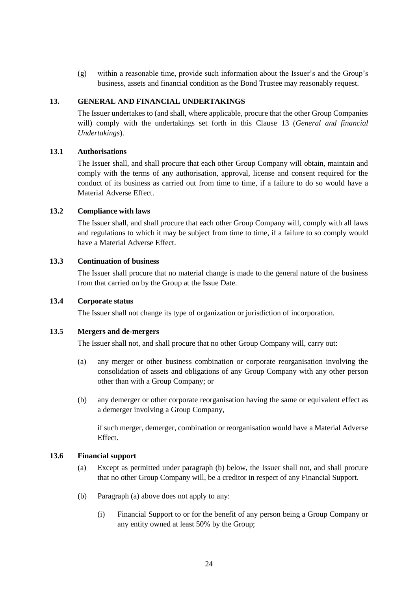(g) within a reasonable time, provide such information about the Issuer's and the Group's business, assets and financial condition as the Bond Trustee may reasonably request.

## <span id="page-23-0"></span>**13. GENERAL AND FINANCIAL UNDERTAKINGS**

The Issuer undertakes to (and shall, where applicable, procure that the other Group Companies will) comply with the undertakings set forth in this Clause [13](#page-23-0) (*General and financial Undertakings*).

## **13.1 Authorisations**

The Issuer shall, and shall procure that each other Group Company will obtain, maintain and comply with the terms of any authorisation, approval, license and consent required for the conduct of its business as carried out from time to time, if a failure to do so would have a Material Adverse Effect.

### <span id="page-23-1"></span>**13.2 Compliance with laws**

The Issuer shall, and shall procure that each other Group Company will, comply with all laws and regulations to which it may be subject from time to time, if a failure to so comply would have a Material Adverse Effect.

### **13.3 Continuation of business**

The Issuer shall procure that no material change is made to the general nature of the business from that carried on by the Group at the Issue Date.

### **13.4 Corporate status**

The Issuer shall not change its type of organization or jurisdiction of incorporation.

#### **13.5 Mergers and de-mergers**

The Issuer shall not, and shall procure that no other Group Company will, carry out:

- (a) any merger or other business combination or corporate reorganisation involving the consolidation of assets and obligations of any Group Company with any other person other than with a Group Company; or
- (b) any demerger or other corporate reorganisation having the same or equivalent effect as a demerger involving a Group Company,

if such merger, demerger, combination or reorganisation would have a Material Adverse Effect.

#### **13.6 Financial support**

- (a) Except as permitted under paragraph (b) below, the Issuer shall not, and shall procure that no other Group Company will, be a creditor in respect of any Financial Support.
- (b) Paragraph (a) above does not apply to any:
	- (i) Financial Support to or for the benefit of any person being a Group Company or any entity owned at least 50% by the Group;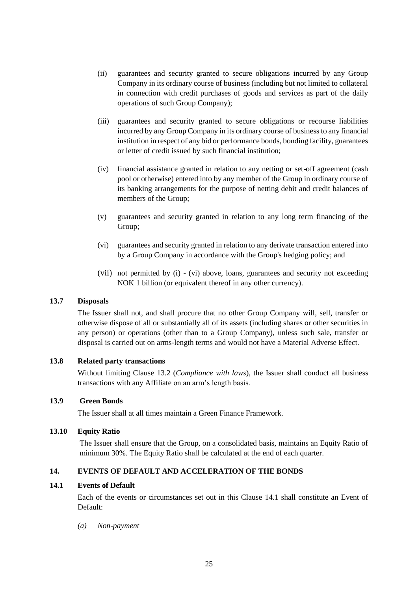- (ii) guarantees and security granted to secure obligations incurred by any Group Company in its ordinary course of business (including but not limited to collateral in connection with credit purchases of goods and services as part of the daily operations of such Group Company);
- (iii) guarantees and security granted to secure obligations or recourse liabilities incurred by any Group Company in its ordinary course of business to any financial institution in respect of any bid or performance bonds, bonding facility, guarantees or letter of credit issued by such financial institution;
- (iv) financial assistance granted in relation to any netting or set-off agreement (cash pool or otherwise) entered into by any member of the Group in ordinary course of its banking arrangements for the purpose of netting debit and credit balances of members of the Group;
- (v) guarantees and security granted in relation to any long term financing of the Group;
- (vi) guarantees and security granted in relation to any derivate transaction entered into by a Group Company in accordance with the Group's hedging policy; and
- (vii) not permitted by (i) (vi) above, loans, guarantees and security not exceeding NOK 1 billion (or equivalent thereof in any other currency).

### **13.7 Disposals**

The Issuer shall not, and shall procure that no other Group Company will, sell, transfer or otherwise dispose of all or substantially all of its assets (including shares or other securities in any person) or operations (other than to a Group Company), unless such sale, transfer or disposal is carried out on arms-length terms and would not have a Material Adverse Effect.

#### **13.8 Related party transactions**

Without limiting Clause [13.2](#page-23-1) (*Compliance with laws*), the Issuer shall conduct all business transactions with any Affiliate on an arm's length basis.

## **13.9 Green Bonds**

The Issuer shall at all times maintain a Green Finance Framework.

#### <span id="page-24-2"></span>**13.10 Equity Ratio**

The Issuer shall ensure that the Group, on a consolidated basis, maintains an Equity Ratio of minimum 30%. The Equity Ratio shall be calculated at the end of each quarter.

#### <span id="page-24-0"></span>**14. EVENTS OF DEFAULT AND ACCELERATION OF THE BONDS**

#### <span id="page-24-1"></span>**14.1 Events of Default**

Each of the events or circumstances set out in this Clause [14.1](#page-24-1) shall constitute an Event of Default:

*(a) Non-payment*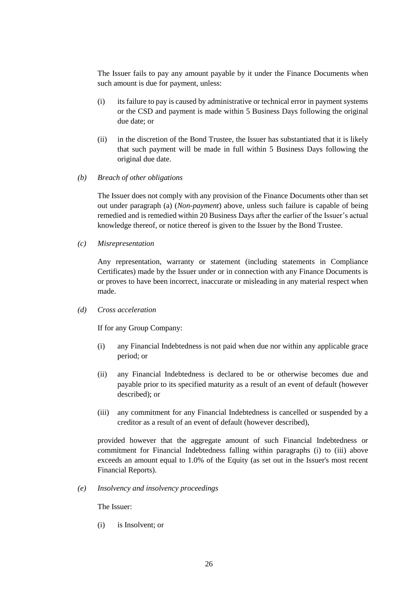The Issuer fails to pay any amount payable by it under the Finance Documents when such amount is due for payment, unless:

- (i) its failure to pay is caused by administrative or technical error in payment systems or the CSD and payment is made within 5 Business Days following the original due date; or
- (ii) in the discretion of the Bond Trustee, the Issuer has substantiated that it is likely that such payment will be made in full within 5 Business Days following the original due date.
- *(b) Breach of other obligations*

The Issuer does not comply with any provision of the Finance Documents other than set out under paragraph (a) (*Non-payment*) above, unless such failure is capable of being remedied and is remedied within 20 Business Days after the earlier of the Issuer's actual knowledge thereof, or notice thereof is given to the Issuer by the Bond Trustee.

*(c) Misrepresentation* 

Any representation, warranty or statement (including statements in Compliance Certificates) made by the Issuer under or in connection with any Finance Documents is or proves to have been incorrect, inaccurate or misleading in any material respect when made.

*(d) Cross acceleration*

If for any Group Company:

- (i) any Financial Indebtedness is not paid when due nor within any applicable grace period; or
- (ii) any Financial Indebtedness is declared to be or otherwise becomes due and payable prior to its specified maturity as a result of an event of default (however described); or
- (iii) any commitment for any Financial Indebtedness is cancelled or suspended by a creditor as a result of an event of default (however described),

provided however that the aggregate amount of such Financial Indebtedness or commitment for Financial Indebtedness falling within paragraphs (i) to (iii) above exceeds an amount equal to 1.0% of the Equity (as set out in the Issuer's most recent Financial Reports).

*(e) Insolvency and insolvency proceedings*

The Issuer:

(i) is Insolvent; or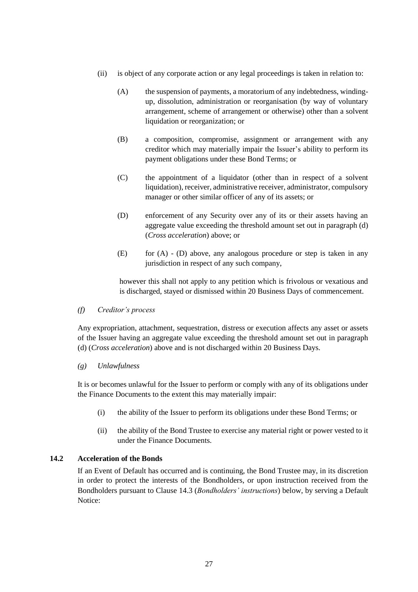- (ii) is object of any corporate action or any legal proceedings is taken in relation to:
	- (A) the suspension of payments, a moratorium of any indebtedness, windingup, dissolution, administration or reorganisation (by way of voluntary arrangement, scheme of arrangement or otherwise) other than a solvent liquidation or reorganization; or
	- (B) a composition, compromise, assignment or arrangement with any creditor which may materially impair the Issuer's ability to perform its payment obligations under these Bond Terms; or
	- (C) the appointment of a liquidator (other than in respect of a solvent liquidation), receiver, administrative receiver, administrator, compulsory manager or other similar officer of any of its assets; or
	- (D) enforcement of any Security over any of its or their assets having an aggregate value exceeding the threshold amount set out in paragraph (d) (*Cross acceleration*) above; or
	- $(E)$  for  $(A)$   $(D)$  above, any analogous procedure or step is taken in any jurisdiction in respect of any such company,

however this shall not apply to any petition which is frivolous or vexatious and is discharged, stayed or dismissed within 20 Business Days of commencement.

*(f) Creditor's process*

Any expropriation, attachment, sequestration, distress or execution affects any asset or assets of the Issuer having an aggregate value exceeding the threshold amount set out in paragraph (d) (*Cross acceleration*) above and is not discharged within 20 Business Days.

## *(g) Unlawfulness*

It is or becomes unlawful for the Issuer to perform or comply with any of its obligations under the Finance Documents to the extent this may materially impair:

- (i) the ability of the Issuer to perform its obligations under these Bond Terms; or
- (ii) the ability of the Bond Trustee to exercise any material right or power vested to it under the Finance Documents.

## <span id="page-26-0"></span>**14.2 Acceleration of the Bonds**

If an Event of Default has occurred and is continuing, the Bond Trustee may, in its discretion in order to protect the interests of the Bondholders, or upon instruction received from the Bondholders pursuant to Clause [14.3](#page-27-2) (*Bondholders' instructions*) below, by serving a Default Notice: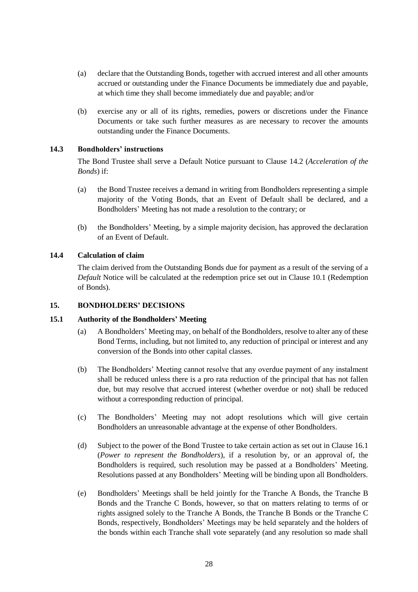- (a) declare that the Outstanding Bonds, together with accrued interest and all other amounts accrued or outstanding under the Finance Documents be immediately due and payable, at which time they shall become immediately due and payable; and/or
- (b) exercise any or all of its rights, remedies, powers or discretions under the Finance Documents or take such further measures as are necessary to recover the amounts outstanding under the Finance Documents.

## <span id="page-27-2"></span>**14.3 Bondholders' instructions**

The Bond Trustee shall serve a Default Notice pursuant to Clause [14.2](#page-26-0) (*Acceleration of the Bonds*) if:

- (a) the Bond Trustee receives a demand in writing from Bondholders representing a simple majority of the Voting Bonds, that an Event of Default shall be declared, and a Bondholders' Meeting has not made a resolution to the contrary; or
- (b) the Bondholders' Meeting, by a simple majority decision, has approved the declaration of an Event of Default.

## **14.4 Calculation of claim**

The claim derived from the Outstanding Bonds due for payment as a result of the serving of a *Default* Notice will be calculated at the redemption price set out in Clause [10.1](#page-20-4) (Redemption of Bonds).

### <span id="page-27-0"></span>**15. BONDHOLDERS' DECISIONS**

#### <span id="page-27-1"></span>**15.1 Authority of the Bondholders' Meeting**

- (a) A Bondholders' Meeting may, on behalf of the Bondholders, resolve to alter any of these Bond Terms, including, but not limited to, any reduction of principal or interest and any conversion of the Bonds into other capital classes.
- (b) The Bondholders' Meeting cannot resolve that any overdue payment of any instalment shall be reduced unless there is a pro rata reduction of the principal that has not fallen due, but may resolve that accrued interest (whether overdue or not) shall be reduced without a corresponding reduction of principal.
- (c) The Bondholders' Meeting may not adopt resolutions which will give certain Bondholders an unreasonable advantage at the expense of other Bondholders.
- (d) Subject to the power of the Bond Trustee to take certain action as set out in Clause [16.1](#page-32-2) (*Power to represent the Bondholders*), if a resolution by, or an approval of, the Bondholders is required, such resolution may be passed at a Bondholders' Meeting. Resolutions passed at any Bondholders' Meeting will be binding upon all Bondholders.
- (e) Bondholders' Meetings shall be held jointly for the Tranche A Bonds, the Tranche B Bonds and the Tranche C Bonds, however, so that on matters relating to terms of or rights assigned solely to the Tranche A Bonds, the Tranche B Bonds or the Tranche C Bonds, respectively, Bondholders' Meetings may be held separately and the holders of the bonds within each Tranche shall vote separately (and any resolution so made shall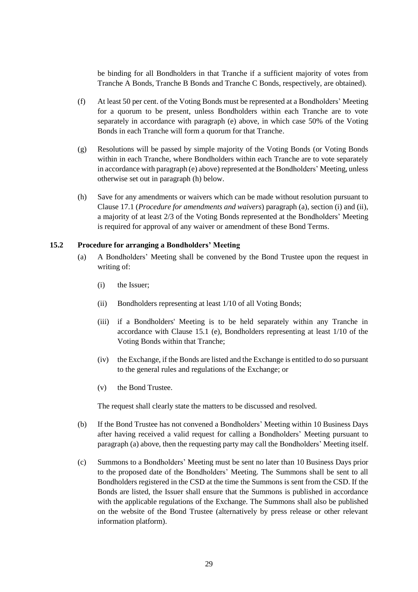be binding for all Bondholders in that Tranche if a sufficient majority of votes from Tranche A Bonds, Tranche B Bonds and Tranche C Bonds, respectively, are obtained).

- (f) At least 50 per cent. of the Voting Bonds must be represented at a Bondholders' Meeting for a quorum to be present, unless Bondholders within each Tranche are to vote separately in accordance with paragraph (e) above, in which case 50% of the Voting Bonds in each Tranche will form a quorum for that Tranche.
- (g) Resolutions will be passed by simple majority of the Voting Bonds (or Voting Bonds within in each Tranche, where Bondholders within each Tranche are to vote separately in accordance with paragraph (e) above) represented at the Bondholders' Meeting, unless otherwise set out in paragraph [\(h\)](#page-28-0) below.
- <span id="page-28-0"></span>(h) Save for any amendments or waivers which can be made without resolution pursuant to Claus[e 17.1](#page-36-2) (*Procedure for amendments and waivers*) paragraph (a), section (i) and (ii), a majority of at least 2/3 of the Voting Bonds represented at the Bondholders' Meeting is required for approval of any waiver or amendment of these Bond Terms.

#### <span id="page-28-2"></span><span id="page-28-1"></span>**15.2 Procedure for arranging a Bondholders' Meeting**

- (a) A Bondholders' Meeting shall be convened by the Bond Trustee upon the request in writing of:
	- (i) the Issuer;
	- (ii) Bondholders representing at least 1/10 of all Voting Bonds;
	- (iii) if a Bondholders' Meeting is to be held separately within any Tranche in accordance with Clause [15.1](#page-27-1) (e), Bondholders representing at least 1/10 of the Voting Bonds within that Tranche;
	- (iv) the Exchange, if the Bonds are listed and the Exchange is entitled to do so pursuant to the general rules and regulations of the Exchange; or
	- (v) the Bond Trustee.

The request shall clearly state the matters to be discussed and resolved.

- (b) If the Bond Trustee has not convened a Bondholders' Meeting within 10 Business Days after having received a valid request for calling a Bondholders' Meeting pursuant to paragrap[h \(a\)](#page-28-1) above, then the requesting party may call the Bondholders' Meeting itself.
- (c) Summons to a Bondholders' Meeting must be sent no later than 10 Business Days prior to the proposed date of the Bondholders' Meeting. The Summons shall be sent to all Bondholders registered in the CSD at the time the Summons is sent from the CSD. If the Bonds are listed, the Issuer shall ensure that the Summons is published in accordance with the applicable regulations of the Exchange. The Summons shall also be published on the website of the Bond Trustee (alternatively by press release or other relevant information platform).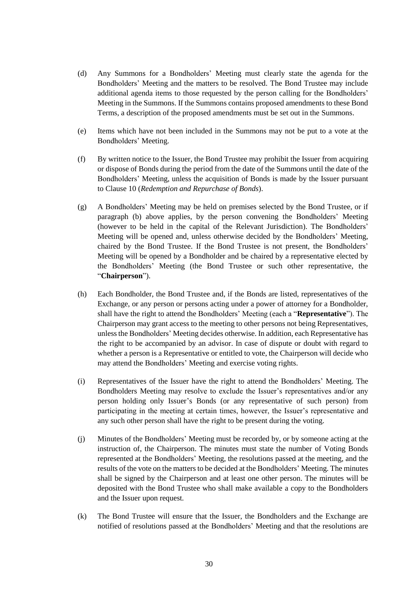- (d) Any Summons for a Bondholders' Meeting must clearly state the agenda for the Bondholders' Meeting and the matters to be resolved. The Bond Trustee may include additional agenda items to those requested by the person calling for the Bondholders' Meeting in the Summons. If the Summons contains proposed amendments to these Bond Terms, a description of the proposed amendments must be set out in the Summons.
- (e) Items which have not been included in the Summons may not be put to a vote at the Bondholders' Meeting.
- (f) By written notice to the Issuer, the Bond Trustee may prohibit the Issuer from acquiring or dispose of Bonds during the period from the date of the Summons until the date of the Bondholders' Meeting, unless the acquisition of Bonds is made by the Issuer pursuant to Clause [10](#page-20-0) (*Redemption and Repurchase of Bonds*).
- (g) A Bondholders' Meeting may be held on premises selected by the Bond Trustee, or if paragraph (b) above applies, by the person convening the Bondholders' Meeting (however to be held in the capital of the Relevant Jurisdiction). The Bondholders' Meeting will be opened and, unless otherwise decided by the Bondholders' Meeting, chaired by the Bond Trustee. If the Bond Trustee is not present, the Bondholders' Meeting will be opened by a Bondholder and be chaired by a representative elected by the Bondholders' Meeting (the Bond Trustee or such other representative, the "**Chairperson**").
- (h) Each Bondholder, the Bond Trustee and, if the Bonds are listed, representatives of the Exchange, or any person or persons acting under a power of attorney for a Bondholder, shall have the right to attend the Bondholders' Meeting (each a "**Representative**"). The Chairperson may grant access to the meeting to other persons not being Representatives, unless the Bondholders' Meeting decides otherwise. In addition, each Representative has the right to be accompanied by an advisor. In case of dispute or doubt with regard to whether a person is a Representative or entitled to vote, the Chairperson will decide who may attend the Bondholders' Meeting and exercise voting rights.
- (i) Representatives of the Issuer have the right to attend the Bondholders' Meeting. The Bondholders Meeting may resolve to exclude the Issuer's representatives and/or any person holding only Issuer's Bonds (or any representative of such person) from participating in the meeting at certain times, however, the Issuer's representative and any such other person shall have the right to be present during the voting.
- (j) Minutes of the Bondholders' Meeting must be recorded by, or by someone acting at the instruction of, the Chairperson. The minutes must state the number of Voting Bonds represented at the Bondholders' Meeting, the resolutions passed at the meeting, and the results of the vote on the matters to be decided at the Bondholders' Meeting. The minutes shall be signed by the Chairperson and at least one other person. The minutes will be deposited with the Bond Trustee who shall make available a copy to the Bondholders and the Issuer upon request.
- (k) The Bond Trustee will ensure that the Issuer, the Bondholders and the Exchange are notified of resolutions passed at the Bondholders' Meeting and that the resolutions are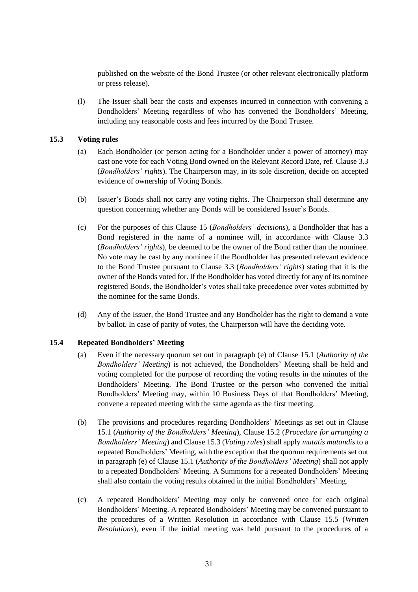published on the website of the Bond Trustee (or other relevant electronically platform or press release).

(l) The Issuer shall bear the costs and expenses incurred in connection with convening a Bondholders' Meeting regardless of who has convened the Bondholders' Meeting, including any reasonable costs and fees incurred by the Bond Trustee.

### <span id="page-30-0"></span>**15.3 Voting rules**

- (a) Each Bondholder (or person acting for a Bondholder under a power of attorney) may cast one vote for each Voting Bond owned on the Relevant Record Date, ref. Claus[e 3.3](#page-13-2) (*Bondholders' rights*). The Chairperson may, in its sole discretion, decide on accepted evidence of ownership of Voting Bonds.
- (b) Issuer's Bonds shall not carry any voting rights. The Chairperson shall determine any question concerning whether any Bonds will be considered Issuer's Bonds.
- (c) For the purposes of this Clause [15](#page-27-0) (*Bondholders' decisions*), a Bondholder that has a Bond registered in the name of a nominee will, in accordance with Clause [3.3](#page-13-2) (*Bondholders' rights*), be deemed to be the owner of the Bond rather than the nominee. No vote may be cast by any nominee if the Bondholder has presented relevant evidence to the Bond Trustee pursuant to Clause [3.3](#page-13-2) (*Bondholders' rights*) stating that it is the owner of the Bonds voted for. If the Bondholder has voted directly for any of its nominee registered Bonds, the Bondholder's votes shall take precedence over votes submitted by the nominee for the same Bonds.
- (d) Any of the Issuer, the Bond Trustee and any Bondholder has the right to demand a vote by ballot. In case of parity of votes, the Chairperson will have the deciding vote.

#### <span id="page-30-1"></span>**15.4 Repeated Bondholders' Meeting**

- (a) Even if the necessary quorum set out in paragraph (e) of Clause [15.1](#page-27-1) (*Authority of the Bondholders' Meeting*) is not achieved, the Bondholders' Meeting shall be held and voting completed for the purpose of recording the voting results in the minutes of the Bondholders' Meeting. The Bond Trustee or the person who convened the initial Bondholders' Meeting may, within 10 Business Days of that Bondholders' Meeting, convene a repeated meeting with the same agenda as the first meeting.
- (b) The provisions and procedures regarding Bondholders' Meetings as set out in Clause [15.1](#page-27-1) (*Authority of the Bondholders' Meeting*), Clause [15.2](#page-28-2) (*Procedure for arranging a Bondholders' Meeting*) and Claus[e 15.3](#page-30-0) (*Voting rules*) shall apply *mutatis mutandis* to a repeated Bondholders' Meeting, with the exception that the quorum requirements set out in paragraph (e) of Claus[e 15.1](#page-27-1) (*Authority of the Bondholders' Meeting*) shall not apply to a repeated Bondholders' Meeting. A Summons for a repeated Bondholders' Meeting shall also contain the voting results obtained in the initial Bondholders' Meeting.
- (c) A repeated Bondholders' Meeting may only be convened once for each original Bondholders' Meeting. A repeated Bondholders' Meeting may be convened pursuant to the procedures of a Written Resolution in accordance with Clause [15.5](#page-31-0) (*Written Resolutions*), even if the initial meeting was held pursuant to the procedures of a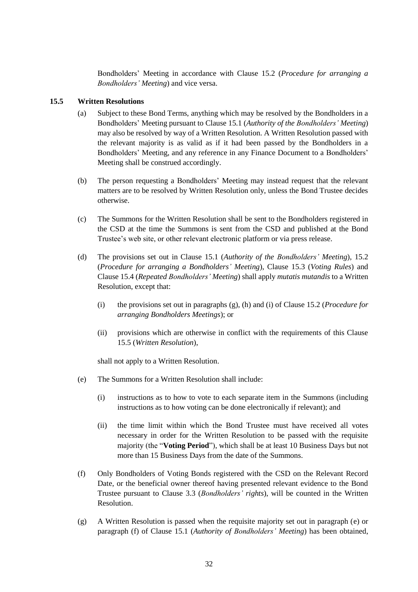Bondholders' Meeting in accordance with Clause [15.2](#page-28-2) (*Procedure for arranging a Bondholders' Meeting*) and vice versa.

### <span id="page-31-0"></span>**15.5 Written Resolutions**

- (a) Subject to these Bond Terms, anything which may be resolved by the Bondholders in a Bondholders' Meeting pursuant to Clause [15.1](#page-27-1) (*Authority of the Bondholders' Meeting*) may also be resolved by way of a Written Resolution. A Written Resolution passed with the relevant majority is as valid as if it had been passed by the Bondholders in a Bondholders' Meeting, and any reference in any Finance Document to a Bondholders' Meeting shall be construed accordingly.
- (b) The person requesting a Bondholders' Meeting may instead request that the relevant matters are to be resolved by Written Resolution only, unless the Bond Trustee decides otherwise.
- (c) The Summons for the Written Resolution shall be sent to the Bondholders registered in the CSD at the time the Summons is sent from the CSD and published at the Bond Trustee's web site, or other relevant electronic platform or via press release.
- (d) The provisions set out in Clause [15.1](#page-27-1) (*Authority of the Bondholders' Meeting*), [15.2](#page-28-2) (*Procedure for arranging a Bondholders' Meeting*), Clause [15.3](#page-30-0) (*Voting Rules*) and Claus[e 15.4](#page-30-1) (*Repeated Bondholders' Meeting*) shall apply *mutatis mutandis* to a Written Resolution, except that:
	- (i) the provisions set out in paragraphs (g), (h) and (i) of Claus[e 15.2](#page-28-2) (*Procedure for arranging Bondholders Meetings*); or
	- (ii) provisions which are otherwise in conflict with the requirements of this Clause [15.5](#page-31-0) (*Written Resolution*),

shall not apply to a Written Resolution.

- (e) The Summons for a Written Resolution shall include:
	- (i) instructions as to how to vote to each separate item in the Summons (including instructions as to how voting can be done electronically if relevant); and
	- (ii) the time limit within which the Bond Trustee must have received all votes necessary in order for the Written Resolution to be passed with the requisite majority (the "**Voting Period**"), which shall be at least 10 Business Days but not more than 15 Business Days from the date of the Summons.
- (f) Only Bondholders of Voting Bonds registered with the CSD on the Relevant Record Date, or the beneficial owner thereof having presented relevant evidence to the Bond Trustee pursuant to Clause [3.3](#page-13-2) (*Bondholders' rights*), will be counted in the Written Resolution.
- (g) A Written Resolution is passed when the requisite majority set out in paragraph (e) or paragraph (f) of Clause [15.1](#page-27-1) (*Authority of Bondholders' Meeting*) has been obtained,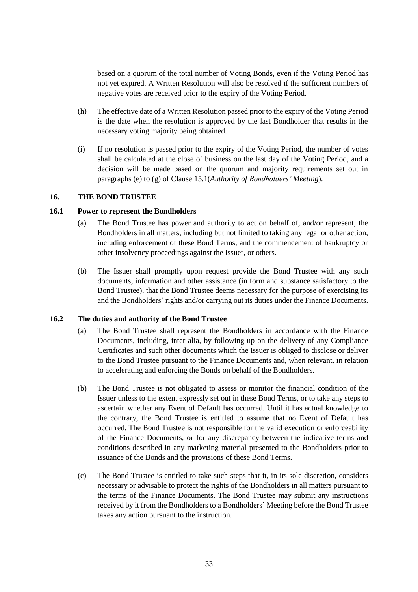based on a quorum of the total number of Voting Bonds, even if the Voting Period has not yet expired. A Written Resolution will also be resolved if the sufficient numbers of negative votes are received prior to the expiry of the Voting Period.

- (h) The effective date of a Written Resolution passed prior to the expiry of the Voting Period is the date when the resolution is approved by the last Bondholder that results in the necessary voting majority being obtained.
- (i) If no resolution is passed prior to the expiry of the Voting Period, the number of votes shall be calculated at the close of business on the last day of the Voting Period, and a decision will be made based on the quorum and majority requirements set out in paragraphs (e) to (g) of Clause [15.1\(](#page-27-1)*Authority of Bondholders' Meeting*).

#### <span id="page-32-0"></span>**16. THE BOND TRUSTEE**

#### <span id="page-32-2"></span>**16.1 Power to represent the Bondholders**

- (a) The Bond Trustee has power and authority to act on behalf of, and/or represent, the Bondholders in all matters, including but not limited to taking any legal or other action, including enforcement of these Bond Terms, and the commencement of bankruptcy or other insolvency proceedings against the Issuer, or others.
- (b) The Issuer shall promptly upon request provide the Bond Trustee with any such documents, information and other assistance (in form and substance satisfactory to the Bond Trustee), that the Bond Trustee deems necessary for the purpose of exercising its and the Bondholders' rights and/or carrying out its duties under the Finance Documents.

#### <span id="page-32-1"></span>**16.2 The duties and authority of the Bond Trustee**

- (a) The Bond Trustee shall represent the Bondholders in accordance with the Finance Documents, including, inter alia, by following up on the delivery of any Compliance Certificates and such other documents which the Issuer is obliged to disclose or deliver to the Bond Trustee pursuant to the Finance Documents and, when relevant, in relation to accelerating and enforcing the Bonds on behalf of the Bondholders.
- (b) The Bond Trustee is not obligated to assess or monitor the financial condition of the Issuer unless to the extent expressly set out in these Bond Terms, or to take any steps to ascertain whether any Event of Default has occurred. Until it has actual knowledge to the contrary, the Bond Trustee is entitled to assume that no Event of Default has occurred. The Bond Trustee is not responsible for the valid execution or enforceability of the Finance Documents, or for any discrepancy between the indicative terms and conditions described in any marketing material presented to the Bondholders prior to issuance of the Bonds and the provisions of these Bond Terms.
- (c) The Bond Trustee is entitled to take such steps that it, in its sole discretion, considers necessary or advisable to protect the rights of the Bondholders in all matters pursuant to the terms of the Finance Documents. The Bond Trustee may submit any instructions received by it from the Bondholders to a Bondholders' Meeting before the Bond Trustee takes any action pursuant to the instruction.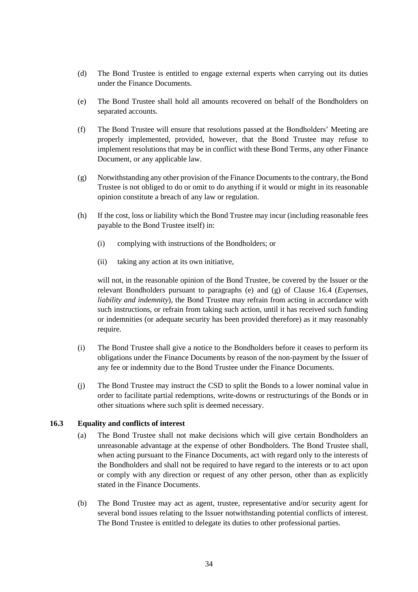- (d) The Bond Trustee is entitled to engage external experts when carrying out its duties under the Finance Documents.
- (e) The Bond Trustee shall hold all amounts recovered on behalf of the Bondholders on separated accounts.
- (f) The Bond Trustee will ensure that resolutions passed at the Bondholders' Meeting are properly implemented, provided, however, that the Bond Trustee may refuse to implement resolutions that may be in conflict with these Bond Terms, any other Finance Document, or any applicable law.
- (g) Notwithstanding any other provision of the Finance Documents to the contrary, the Bond Trustee is not obliged to do or omit to do anything if it would or might in its reasonable opinion constitute a breach of any law or regulation.
- (h) If the cost, loss or liability which the Bond Trustee may incur (including reasonable fees payable to the Bond Trustee itself) in:
	- (i) complying with instructions of the Bondholders; or
	- (ii) taking any action at its own initiative,

will not, in the reasonable opinion of the Bond Trustee, be covered by the Issuer or the relevant Bondholders pursuant to paragraphs (e) and (g) of Clause [16.4](#page-34-0) (*Expenses, liability and indemnity*), the Bond Trustee may refrain from acting in accordance with such instructions, or refrain from taking such action, until it has received such funding or indemnities (or adequate security has been provided therefore) as it may reasonably require.

- (i) The Bond Trustee shall give a notice to the Bondholders before it ceases to perform its obligations under the Finance Documents by reason of the non-payment by the Issuer of any fee or indemnity due to the Bond Trustee under the Finance Documents.
- (j) The Bond Trustee may instruct the CSD to split the Bonds to a lower nominal value in order to facilitate partial redemptions, write-downs or restructurings of the Bonds or in other situations where such split is deemed necessary.

#### **16.3 Equality and conflicts of interest**

- (a) The Bond Trustee shall not make decisions which will give certain Bondholders an unreasonable advantage at the expense of other Bondholders. The Bond Trustee shall, when acting pursuant to the Finance Documents, act with regard only to the interests of the Bondholders and shall not be required to have regard to the interests or to act upon or comply with any direction or request of any other person, other than as explicitly stated in the Finance Documents.
- (b) The Bond Trustee may act as agent, trustee, representative and/or security agent for several bond issues relating to the Issuer notwithstanding potential conflicts of interest. The Bond Trustee is entitled to delegate its duties to other professional parties.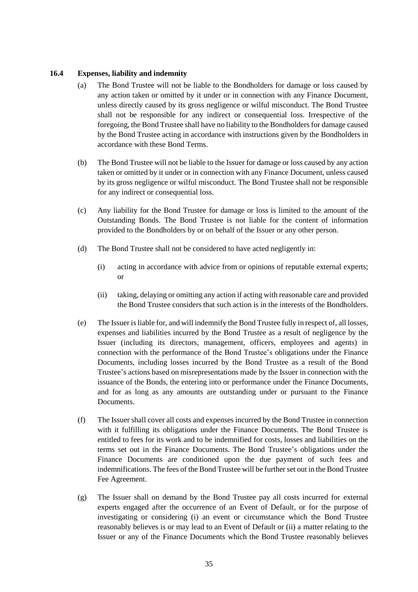## <span id="page-34-0"></span>**16.4 Expenses, liability and indemnity**

- (a) The Bond Trustee will not be liable to the Bondholders for damage or loss caused by any action taken or omitted by it under or in connection with any Finance Document, unless directly caused by its gross negligence or wilful misconduct. The Bond Trustee shall not be responsible for any indirect or consequential loss. Irrespective of the foregoing, the Bond Trustee shall have no liability to the Bondholders for damage caused by the Bond Trustee acting in accordance with instructions given by the Bondholders in accordance with these Bond Terms.
- (b) The Bond Trustee will not be liable to the Issuer for damage or loss caused by any action taken or omitted by it under or in connection with any Finance Document, unless caused by its gross negligence or wilful misconduct. The Bond Trustee shall not be responsible for any indirect or consequential loss.
- (c) Any liability for the Bond Trustee for damage or loss is limited to the amount of the Outstanding Bonds. The Bond Trustee is not liable for the content of information provided to the Bondholders by or on behalf of the Issuer or any other person.
- (d) The Bond Trustee shall not be considered to have acted negligently in:
	- (i) acting in accordance with advice from or opinions of reputable external experts; or
	- (ii) taking, delaying or omitting any action if acting with reasonable care and provided the Bond Trustee considers that such action is in the interests of the Bondholders.
- (e) The Issuer isliable for, and will indemnify the Bond Trustee fully in respect of, all losses, expenses and liabilities incurred by the Bond Trustee as a result of negligence by the Issuer (including its directors, management, officers, employees and agents) in connection with the performance of the Bond Trustee's obligations under the Finance Documents, including losses incurred by the Bond Trustee as a result of the Bond Trustee's actions based on misrepresentations made by the Issuer in connection with the issuance of the Bonds, the entering into or performance under the Finance Documents, and for as long as any amounts are outstanding under or pursuant to the Finance Documents.
- (f) The Issuer shall cover all costs and expenses incurred by the Bond Trustee in connection with it fulfilling its obligations under the Finance Documents. The Bond Trustee is entitled to fees for its work and to be indemnified for costs, losses and liabilities on the terms set out in the Finance Documents. The Bond Trustee's obligations under the Finance Documents are conditioned upon the due payment of such fees and indemnifications. The fees of the Bond Trustee will be further set out in the Bond Trustee Fee Agreement.
- (g) The Issuer shall on demand by the Bond Trustee pay all costs incurred for external experts engaged after the occurrence of an Event of Default, or for the purpose of investigating or considering (i) an event or circumstance which the Bond Trustee reasonably believes is or may lead to an Event of Default or (ii) a matter relating to the Issuer or any of the Finance Documents which the Bond Trustee reasonably believes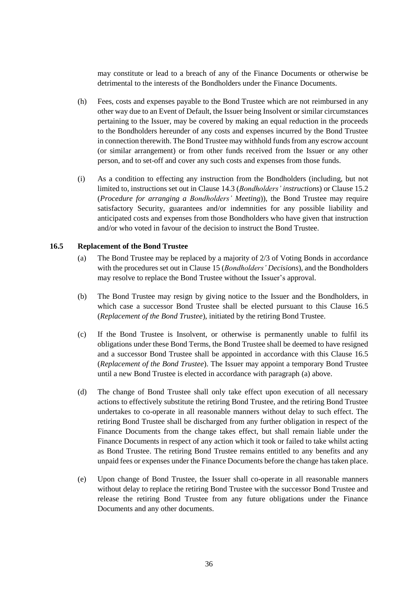may constitute or lead to a breach of any of the Finance Documents or otherwise be detrimental to the interests of the Bondholders under the Finance Documents.

- (h) Fees, costs and expenses payable to the Bond Trustee which are not reimbursed in any other way due to an Event of Default, the Issuer being Insolvent or similar circumstances pertaining to the Issuer, may be covered by making an equal reduction in the proceeds to the Bondholders hereunder of any costs and expenses incurred by the Bond Trustee in connection therewith. The Bond Trustee may withhold funds from any escrow account (or similar arrangement) or from other funds received from the Issuer or any other person, and to set-off and cover any such costs and expenses from those funds.
- (i) As a condition to effecting any instruction from the Bondholders (including, but not limited to, instructions set out in Clause [14.3](#page-27-2) (*Bondholders' instructions*) or Clause [15.2](#page-28-2) (*Procedure for arranging a Bondholders' Meeting*)), the Bond Trustee may require satisfactory Security, guarantees and/or indemnities for any possible liability and anticipated costs and expenses from those Bondholders who have given that instruction and/or who voted in favour of the decision to instruct the Bond Trustee.

#### <span id="page-35-1"></span><span id="page-35-0"></span>**16.5 Replacement of the Bond Trustee**

- (a) The Bond Trustee may be replaced by a majority of 2/3 of Voting Bonds in accordance with the procedures set out in Clause [15](#page-27-0) (*Bondholders' Decisions*), and the Bondholders may resolve to replace the Bond Trustee without the Issuer's approval.
- (b) The Bond Trustee may resign by giving notice to the Issuer and the Bondholders, in which case a successor Bond Trustee shall be elected pursuant to this Clause [16.5](#page-35-0) (*Replacement of the Bond Trustee*), initiated by the retiring Bond Trustee.
- (c) If the Bond Trustee is Insolvent, or otherwise is permanently unable to fulfil its obligations under these Bond Terms, the Bond Trustee shall be deemed to have resigned and a successor Bond Trustee shall be appointed in accordance with this Clause [16.5](#page-35-0) (*Replacement of the Bond Trustee*). The Issuer may appoint a temporary Bond Trustee until a new Bond Trustee is elected in accordance with paragraph [\(a\)](#page-35-1) above.
- (d) The change of Bond Trustee shall only take effect upon execution of all necessary actions to effectively substitute the retiring Bond Trustee, and the retiring Bond Trustee undertakes to co-operate in all reasonable manners without delay to such effect. The retiring Bond Trustee shall be discharged from any further obligation in respect of the Finance Documents from the change takes effect, but shall remain liable under the Finance Documents in respect of any action which it took or failed to take whilst acting as Bond Trustee. The retiring Bond Trustee remains entitled to any benefits and any unpaid fees or expenses under the Finance Documents before the change has taken place.
- (e) Upon change of Bond Trustee, the Issuer shall co-operate in all reasonable manners without delay to replace the retiring Bond Trustee with the successor Bond Trustee and release the retiring Bond Trustee from any future obligations under the Finance Documents and any other documents.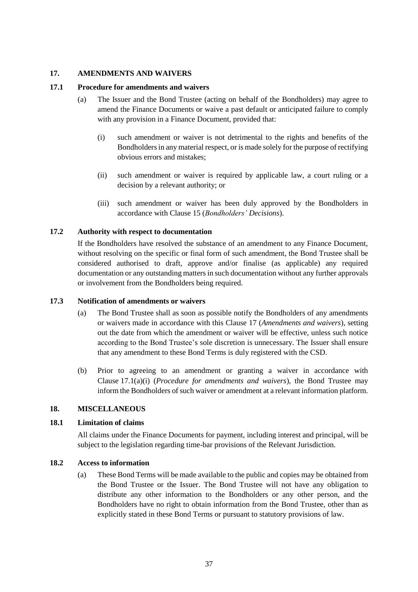### <span id="page-36-0"></span>**17. AMENDMENTS AND WAIVERS**

### <span id="page-36-2"></span>**17.1 Procedure for amendments and waivers**

- <span id="page-36-3"></span>(a) The Issuer and the Bond Trustee (acting on behalf of the Bondholders) may agree to amend the Finance Documents or waive a past default or anticipated failure to comply with any provision in a Finance Document, provided that:
	- (i) such amendment or waiver is not detrimental to the rights and benefits of the Bondholders in any material respect, or is made solely for the purpose of rectifying obvious errors and mistakes;
	- (ii) such amendment or waiver is required by applicable law, a court ruling or a decision by a relevant authority; or
	- (iii) such amendment or waiver has been duly approved by the Bondholders in accordance with Clause [15](#page-27-0) (*Bondholders' Decisions*).

## **17.2 Authority with respect to documentation**

If the Bondholders have resolved the substance of an amendment to any Finance Document, without resolving on the specific or final form of such amendment, the Bond Trustee shall be considered authorised to draft, approve and/or finalise (as applicable) any required documentation or any outstanding matters in such documentation without any further approvals or involvement from the Bondholders being required.

#### **17.3 Notification of amendments or waivers**

- (a) The Bond Trustee shall as soon as possible notify the Bondholders of any amendments or waivers made in accordance with this Clause [17](#page-36-0) (*Amendments and waivers*), setting out the date from which the amendment or waiver will be effective, unless such notice according to the Bond Trustee's sole discretion is unnecessary. The Issuer shall ensure that any amendment to these Bond Terms is duly registered with the CSD.
- (b) Prior to agreeing to an amendment or granting a waiver in accordance with Clause [17.1\(a\)\(i\)](#page-36-3) (*Procedure for amendments and waivers*), the Bond Trustee may inform the Bondholders of such waiver or amendment at a relevant information platform.

#### <span id="page-36-1"></span>**18. MISCELLANEOUS**

#### **18.1 Limitation of claims**

All claims under the Finance Documents for payment, including interest and principal, will be subject to the legislation regarding time-bar provisions of the Relevant Jurisdiction.

#### **18.2 Access to information**

(a) These Bond Terms will be made available to the public and copies may be obtained from the Bond Trustee or the Issuer. The Bond Trustee will not have any obligation to distribute any other information to the Bondholders or any other person, and the Bondholders have no right to obtain information from the Bond Trustee, other than as explicitly stated in these Bond Terms or pursuant to statutory provisions of law.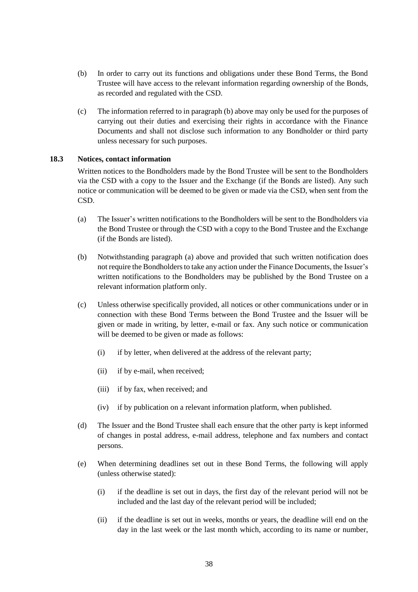- (b) In order to carry out its functions and obligations under these Bond Terms, the Bond Trustee will have access to the relevant information regarding ownership of the Bonds, as recorded and regulated with the CSD.
- (c) The information referred to in paragraph (b) above may only be used for the purposes of carrying out their duties and exercising their rights in accordance with the Finance Documents and shall not disclose such information to any Bondholder or third party unless necessary for such purposes.

## **18.3 Notices, contact information**

Written notices to the Bondholders made by the Bond Trustee will be sent to the Bondholders via the CSD with a copy to the Issuer and the Exchange (if the Bonds are listed). Any such notice or communication will be deemed to be given or made via the CSD, when sent from the CSD.

- (a) The Issuer's written notifications to the Bondholders will be sent to the Bondholders via the Bond Trustee or through the CSD with a copy to the Bond Trustee and the Exchange (if the Bonds are listed).
- (b) Notwithstanding paragraph (a) above and provided that such written notification does not require the Bondholders to take any action under the Finance Documents, the Issuer's written notifications to the Bondholders may be published by the Bond Trustee on a relevant information platform only.
- (c) Unless otherwise specifically provided, all notices or other communications under or in connection with these Bond Terms between the Bond Trustee and the Issuer will be given or made in writing, by letter, e-mail or fax. Any such notice or communication will be deemed to be given or made as follows:
	- (i) if by letter, when delivered at the address of the relevant party;
	- (ii) if by e-mail, when received;
	- (iii) if by fax, when received; and
	- (iv) if by publication on a relevant information platform, when published.
- (d) The Issuer and the Bond Trustee shall each ensure that the other party is kept informed of changes in postal address, e-mail address, telephone and fax numbers and contact persons.
- (e) When determining deadlines set out in these Bond Terms, the following will apply (unless otherwise stated):
	- (i) if the deadline is set out in days, the first day of the relevant period will not be included and the last day of the relevant period will be included;
	- (ii) if the deadline is set out in weeks, months or years, the deadline will end on the day in the last week or the last month which, according to its name or number,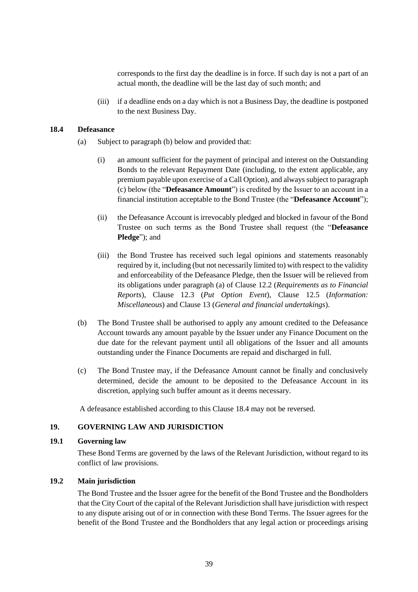corresponds to the first day the deadline is in force. If such day is not a part of an actual month, the deadline will be the last day of such month; and

(iii) if a deadline ends on a day which is not a Business Day, the deadline is postponed to the next Business Day.

#### <span id="page-38-1"></span>**18.4 Defeasance**

- (a) Subject to paragraph (b) below and provided that:
	- (i) an amount sufficient for the payment of principal and interest on the Outstanding Bonds to the relevant Repayment Date (including, to the extent applicable, any premium payable upon exercise of a Call Option), and always subject to paragraph (c) below (the "**Defeasance Amount**") is credited by the Issuer to an account in a financial institution acceptable to the Bond Trustee (the "**Defeasance Account**");
	- (ii) the Defeasance Account is irrevocably pledged and blocked in favour of the Bond Trustee on such terms as the Bond Trustee shall request (the "**Defeasance Pledge**"); and
	- (iii) the Bond Trustee has received such legal opinions and statements reasonably required by it, including (but not necessarily limited to) with respect to the validity and enforceability of the Defeasance Pledge, then the Issuer will be relieved from its obligations under paragraph (a) of Clause [12.2](#page-22-1) (*Requirements as to Financial Reports*), Clause [12.3](#page-22-0) (*Put Option Event*), Clause [12.5](#page-22-2) (*Information: Miscellaneous*) and Clause [13](#page-23-0) (*General and financial undertakings*).
- (b) The Bond Trustee shall be authorised to apply any amount credited to the Defeasance Account towards any amount payable by the Issuer under any Finance Document on the due date for the relevant payment until all obligations of the Issuer and all amounts outstanding under the Finance Documents are repaid and discharged in full.
- (c) The Bond Trustee may, if the Defeasance Amount cannot be finally and conclusively determined, decide the amount to be deposited to the Defeasance Account in its discretion, applying such buffer amount as it deems necessary.

A defeasance established according to this Clause [18.4](#page-38-1) may not be reversed.

#### <span id="page-38-0"></span>**19. GOVERNING LAW AND JURISDICTION**

#### **19.1 Governing law**

These Bond Terms are governed by the laws of the Relevant Jurisdiction, without regard to its conflict of law provisions.

#### **19.2 Main jurisdiction**

The Bond Trustee and the Issuer agree for the benefit of the Bond Trustee and the Bondholders that the City Court of the capital of the Relevant Jurisdiction shall have jurisdiction with respect to any dispute arising out of or in connection with these Bond Terms. The Issuer agrees for the benefit of the Bond Trustee and the Bondholders that any legal action or proceedings arising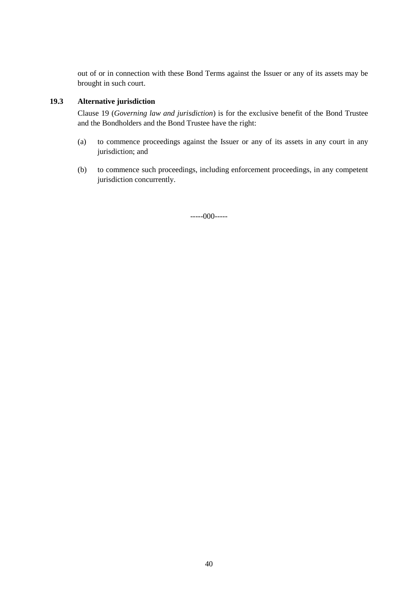out of or in connection with these Bond Terms against the Issuer or any of its assets may be brought in such court.

## **19.3 Alternative jurisdiction**

Clause [19](#page-38-0) (*Governing law and jurisdiction*) is for the exclusive benefit of the Bond Trustee and the Bondholders and the Bond Trustee have the right:

- (a) to commence proceedings against the Issuer or any of its assets in any court in any jurisdiction; and
- (b) to commence such proceedings, including enforcement proceedings, in any competent jurisdiction concurrently.

-----000-----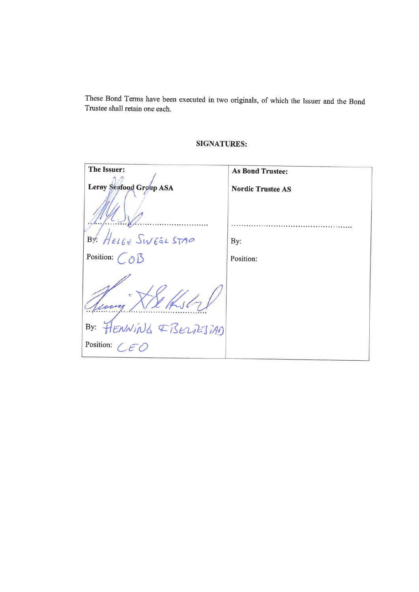These Bond Terms have been executed in two originals, of which the Issuer and the Bond Trustee shall retain one each.

| The Issuer:                 | <b>As Bond Trustee:</b>  |
|-----------------------------|--------------------------|
| Lerøy Seafood Group ASA     | <b>Nordic Trustee AS</b> |
|                             |                          |
| BY: HELGE SINGEL STAP       | By:                      |
| Position: $\bigcirc \delta$ | Position:                |
|                             |                          |
| By: FLENNING EBELLEJIAN     |                          |
| Position: $\bigcap$         |                          |

## **SIGNATURES:**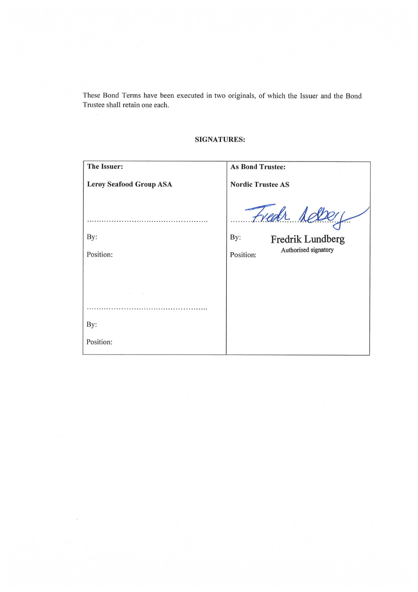These Bond Terms have been executed in two originals, of which the Issuer and the Bond Trustee shall retain one each.

| The Issuer:                    | <b>As Bond Trustee:</b>                                                       |
|--------------------------------|-------------------------------------------------------------------------------|
| <b>Lerøy Seafood Group ASA</b> | <b>Nordic Trustee AS</b>                                                      |
| By:<br>Position:               | Fredr Aelberg<br>By:<br>Fredrik Lundberg<br>Authorised signatory<br>Position: |
|                                |                                                                               |
|                                |                                                                               |
|                                |                                                                               |
| By:                            |                                                                               |
| Position:                      |                                                                               |

 $\sigma$ 

## **SIGNATURES:**